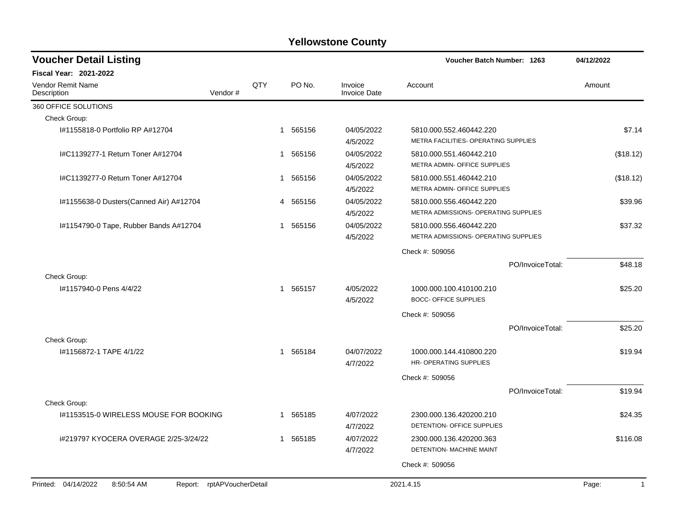| <b>Voucher Detail Listing</b>                                   |                |              |          |                                | Voucher Batch Number: 1263                                      |                  | 04/12/2022            |
|-----------------------------------------------------------------|----------------|--------------|----------|--------------------------------|-----------------------------------------------------------------|------------------|-----------------------|
| <b>Fiscal Year: 2021-2022</b>                                   |                |              |          |                                |                                                                 |                  |                       |
| Vendor Remit Name<br>Description                                | QTY<br>Vendor# |              | PO No.   | Invoice<br><b>Invoice Date</b> | Account                                                         |                  | Amount                |
| 360 OFFICE SOLUTIONS                                            |                |              |          |                                |                                                                 |                  |                       |
| Check Group:                                                    |                |              |          |                                |                                                                 |                  |                       |
| I#1155818-0 Portfolio RP A#12704                                |                |              | 1 565156 | 04/05/2022<br>4/5/2022         | 5810.000.552.460442.220<br>METRA FACILITIES- OPERATING SUPPLIES |                  | \$7.14                |
| I#C1139277-1 Return Toner A#12704                               |                |              | 1 565156 | 04/05/2022<br>4/5/2022         | 5810.000.551.460442.210<br>METRA ADMIN- OFFICE SUPPLIES         |                  | (\$18.12)             |
| I#C1139277-0 Return Toner A#12704                               |                |              | 1 565156 | 04/05/2022<br>4/5/2022         | 5810.000.551.460442.210<br>METRA ADMIN- OFFICE SUPPLIES         |                  | (\$18.12)             |
| I#1155638-0 Dusters(Canned Air) A#12704                         |                |              | 4 565156 | 04/05/2022<br>4/5/2022         | 5810.000.556.460442.220<br>METRA ADMISSIONS- OPERATING SUPPLIES |                  | \$39.96               |
| I#1154790-0 Tape, Rubber Bands A#12704                          |                |              | 1 565156 | 04/05/2022<br>4/5/2022         | 5810.000.556.460442.220<br>METRA ADMISSIONS- OPERATING SUPPLIES |                  | \$37.32               |
|                                                                 |                |              |          |                                | Check #: 509056                                                 |                  |                       |
|                                                                 |                |              |          |                                |                                                                 | PO/InvoiceTotal: | \$48.18               |
| Check Group:                                                    |                |              |          |                                |                                                                 |                  |                       |
| #1157940-0 Pens 4/4/22                                          |                |              | 1 565157 | 4/05/2022<br>4/5/2022          | 1000.000.100.410100.210<br><b>BOCC- OFFICE SUPPLIES</b>         |                  | \$25.20               |
|                                                                 |                |              |          |                                | Check #: 509056                                                 |                  |                       |
| Check Group:                                                    |                |              |          |                                |                                                                 | PO/InvoiceTotal: | \$25.20               |
| I#1156872-1 TAPE 4/1/22                                         |                | $\mathbf{1}$ | 565184   | 04/07/2022<br>4/7/2022         | 1000.000.144.410800.220<br><b>HR- OPERATING SUPPLIES</b>        |                  | \$19.94               |
|                                                                 |                |              |          |                                | Check #: 509056                                                 |                  |                       |
|                                                                 |                |              |          |                                |                                                                 | PO/InvoiceTotal: | \$19.94               |
| Check Group:                                                    |                |              |          |                                |                                                                 |                  |                       |
| I#1153515-0 WIRELESS MOUSE FOR BOOKING                          |                | 1            | 565185   | 4/07/2022<br>4/7/2022          | 2300.000.136.420200.210<br>DETENTION- OFFICE SUPPLIES           |                  | \$24.35               |
| i#219797 KYOCERA OVERAGE 2/25-3/24/22                           |                | 1            | 565185   | 4/07/2022<br>4/7/2022          | 2300.000.136.420200.363<br>DETENTION- MACHINE MAINT             |                  | \$116.08              |
|                                                                 |                |              |          |                                | Check #: 509056                                                 |                  |                       |
|                                                                 |                |              |          |                                |                                                                 |                  |                       |
| Printed: 04/14/2022<br>Report: rptAPVoucherDetail<br>8:50:54 AM |                |              |          |                                | 2021.4.15                                                       |                  | Page:<br>$\mathbf{1}$ |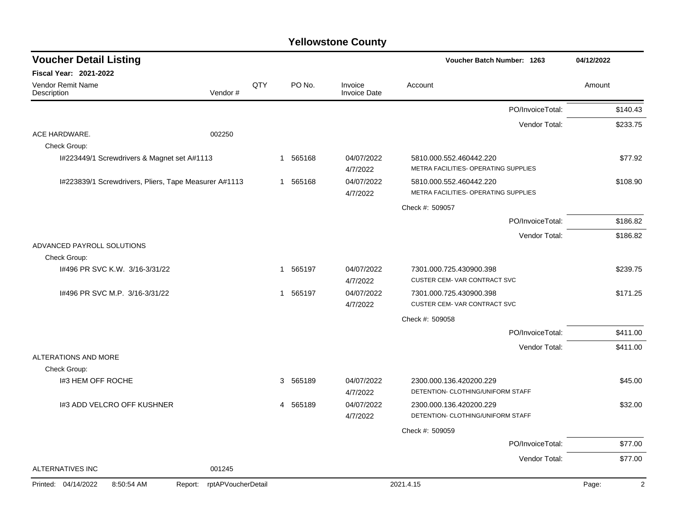| <b>Voucher Detail Listing</b>                         |                               |     |                        |                                | Voucher Batch Number: 1263                                      | 04/12/2022              |
|-------------------------------------------------------|-------------------------------|-----|------------------------|--------------------------------|-----------------------------------------------------------------|-------------------------|
| Fiscal Year: 2021-2022                                |                               |     |                        |                                |                                                                 |                         |
| Vendor Remit Name<br>Description                      | Vendor#                       | QTY | PO No.                 | Invoice<br><b>Invoice Date</b> | Account                                                         | Amount                  |
|                                                       |                               |     |                        |                                | PO/InvoiceTotal:                                                | \$140.43                |
|                                                       |                               |     |                        |                                | Vendor Total:                                                   | \$233.75                |
| ACE HARDWARE.<br>Check Group:                         | 002250                        |     |                        |                                |                                                                 |                         |
| I#223449/1 Screwdrivers & Magnet set A#1113           |                               |     | 1 565168               | 04/07/2022<br>4/7/2022         | 5810.000.552.460442.220<br>METRA FACILITIES- OPERATING SUPPLIES | \$77.92                 |
| I#223839/1 Screwdrivers, Pliers, Tape Measurer A#1113 |                               |     | 1 565168               | 04/07/2022<br>4/7/2022         | 5810.000.552.460442.220<br>METRA FACILITIES- OPERATING SUPPLIES | \$108.90                |
|                                                       |                               |     |                        |                                | Check #: 509057                                                 |                         |
|                                                       |                               |     |                        |                                | PO/InvoiceTotal:                                                | \$186.82                |
|                                                       |                               |     |                        |                                | Vendor Total:                                                   | \$186.82                |
| ADVANCED PAYROLL SOLUTIONS<br>Check Group:            |                               |     |                        |                                |                                                                 |                         |
| 1#496 PR SVC K.W. 3/16-3/31/22                        |                               |     | 565197<br>$\mathbf{1}$ | 04/07/2022<br>4/7/2022         | 7301.000.725.430900.398<br>CUSTER CEM-VAR CONTRACT SVC          | \$239.75                |
| I#496 PR SVC M.P. 3/16-3/31/22                        |                               |     | 1 565197               | 04/07/2022<br>4/7/2022         | 7301.000.725.430900.398<br>CUSTER CEM-VAR CONTRACT SVC          | \$171.25                |
|                                                       |                               |     |                        |                                | Check #: 509058                                                 |                         |
|                                                       |                               |     |                        |                                | PO/InvoiceTotal:                                                | \$411.00                |
|                                                       |                               |     |                        |                                | Vendor Total:                                                   | \$411.00                |
| ALTERATIONS AND MORE<br>Check Group:                  |                               |     |                        |                                |                                                                 |                         |
| 1#3 HEM OFF ROCHE                                     |                               |     | 3 565189               | 04/07/2022<br>4/7/2022         | 2300.000.136.420200.229<br>DETENTION- CLOTHING/UNIFORM STAFF    | \$45.00                 |
| 1#3 ADD VELCRO OFF KUSHNER                            |                               |     | 4 565189               | 04/07/2022<br>4/7/2022         | 2300.000.136.420200.229<br>DETENTION- CLOTHING/UNIFORM STAFF    | \$32.00                 |
|                                                       |                               |     |                        |                                | Check #: 509059                                                 |                         |
|                                                       |                               |     |                        |                                | PO/InvoiceTotal:                                                | \$77.00                 |
|                                                       |                               |     |                        |                                | Vendor Total:                                                   | \$77.00                 |
| <b>ALTERNATIVES INC</b>                               | 001245                        |     |                        |                                |                                                                 |                         |
| Printed: 04/14/2022<br>8:50:54 AM                     | rptAPVoucherDetail<br>Report: |     |                        |                                | 2021.4.15                                                       | $\overline{c}$<br>Page: |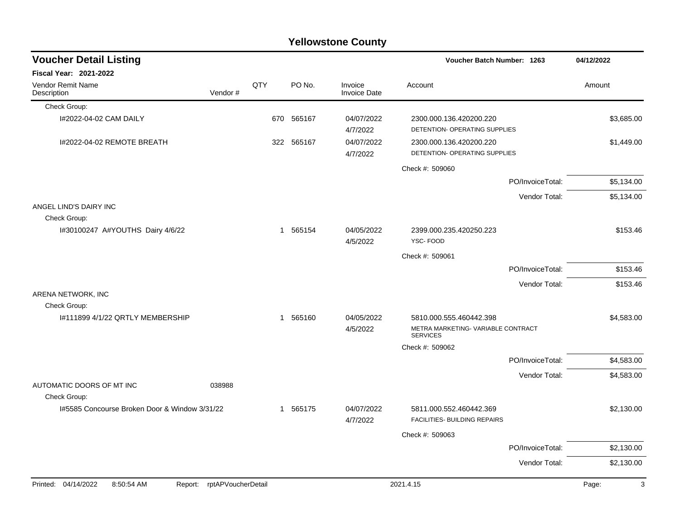|                                                                                                                                                |                                             |                      |            | <b>Yellowstone County</b>      |                                                                                  |                  |            |
|------------------------------------------------------------------------------------------------------------------------------------------------|---------------------------------------------|----------------------|------------|--------------------------------|----------------------------------------------------------------------------------|------------------|------------|
| <b>Voucher Detail Listing</b>                                                                                                                  |                                             |                      |            |                                | Voucher Batch Number: 1263                                                       |                  | 04/12/2022 |
| Fiscal Year: 2021-2022                                                                                                                         |                                             |                      |            |                                |                                                                                  |                  |            |
| <b>Vendor Remit Name</b><br>Description                                                                                                        | Vendor#                                     | QTY                  | PO No.     | Invoice<br><b>Invoice Date</b> | Account                                                                          |                  | Amount     |
| Check Group:                                                                                                                                   |                                             |                      |            |                                |                                                                                  |                  |            |
| I#2022-04-02 CAM DAILY                                                                                                                         |                                             |                      | 670 565167 | 04/07/2022<br>4/7/2022         | 2300.000.136.420200.220<br>DETENTION- OPERATING SUPPLIES                         |                  | \$3,685.00 |
| I#2022-04-02 REMOTE BREATH                                                                                                                     |                                             |                      | 322 565167 | 04/07/2022<br>4/7/2022         | 2300.000.136.420200.220<br>DETENTION- OPERATING SUPPLIES                         |                  | \$1,449.00 |
|                                                                                                                                                |                                             |                      |            |                                | Check #: 509060                                                                  |                  |            |
|                                                                                                                                                |                                             |                      |            |                                |                                                                                  | PO/InvoiceTotal: | \$5,134.00 |
|                                                                                                                                                |                                             |                      |            |                                |                                                                                  | Vendor Total:    | \$5,134.00 |
| ANGEL LIND'S DAIRY INC<br>Check Group:                                                                                                         |                                             |                      |            |                                |                                                                                  |                  |            |
| I#30100247 A#YOUTHS Dairy 4/6/22                                                                                                               |                                             |                      | 1 565154   | 04/05/2022<br>4/5/2022         | 2399.000.235.420250.223<br>YSC-FOOD                                              |                  | \$153.46   |
|                                                                                                                                                |                                             |                      |            |                                | Check #: 509061                                                                  |                  |            |
|                                                                                                                                                |                                             |                      |            |                                |                                                                                  | PO/InvoiceTotal: | \$153.46   |
|                                                                                                                                                |                                             |                      |            |                                |                                                                                  | Vendor Total:    | \$153.46   |
| ARENA NETWORK, INC<br>Check Group:                                                                                                             |                                             |                      |            |                                |                                                                                  |                  |            |
| 1#111899 4/1/22 QRTLY MEMBERSHIP                                                                                                               |                                             |                      | 1 565160   | 04/05/2022<br>4/5/2022         | 5810.000.555.460442.398<br>METRA MARKETING- VARIABLE CONTRACT<br><b>SERVICES</b> |                  | \$4,583.00 |
|                                                                                                                                                |                                             |                      |            |                                | Check #: 509062                                                                  |                  |            |
|                                                                                                                                                |                                             |                      |            |                                |                                                                                  | PO/InvoiceTotal: | \$4,583.00 |
| AUTOMATIC DOORS OF MT INC                                                                                                                      | 038988                                      |                      |            |                                |                                                                                  | Vendor Total:    | \$4,583.00 |
| Check Group:                                                                                                                                   |                                             |                      |            |                                |                                                                                  |                  |            |
| I#5585 Concourse Broken Door & Window 3/31/22                                                                                                  |                                             |                      | 1 565175   | 04/07/2022<br>4/7/2022         | 5811.000.552.460442.369<br>FACILITIES- BUILDING REPAIRS                          |                  | \$2,130.00 |
|                                                                                                                                                |                                             |                      |            |                                | Check #: 509063                                                                  |                  |            |
|                                                                                                                                                |                                             |                      |            |                                |                                                                                  | PO/InvoiceTotal: | \$2,130.00 |
|                                                                                                                                                |                                             |                      |            |                                |                                                                                  | Vendor Total:    | \$2,130.00 |
| $\begin{array}{c}\n\bullet & \bullet & \bullet & \bullet & \bullet & \bullet & \bullet\n\end{array}$<br>0.11110000<br>$\overline{\phantom{0}}$ | $\lambda$ $\sim$ $\sim$ $\lambda$<br>$\sim$ | $\sim$ $\sim$ $\sim$ |            |                                | $\frac{1}{2}$                                                                    |                  | $\sim$     |

#### Printed: 04/14/2022 8:50:54 AM Report: rptAPVoucherDetail 2021.4.15 2021.4.15 Page: 3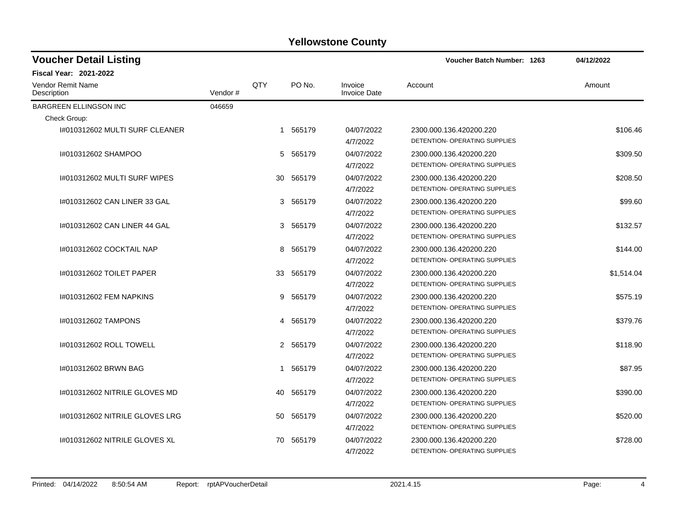| <b>Voucher Detail Listing</b>           |         |              |          |                                | <b>Voucher Batch Number: 1263</b>                        | 04/12/2022 |  |
|-----------------------------------------|---------|--------------|----------|--------------------------------|----------------------------------------------------------|------------|--|
| <b>Fiscal Year: 2021-2022</b>           |         |              |          |                                |                                                          |            |  |
| <b>Vendor Remit Name</b><br>Description | Vendor# | QTY          | PO No.   | Invoice<br><b>Invoice Date</b> | Account                                                  | Amount     |  |
| <b>BARGREEN ELLINGSON INC</b>           | 046659  |              |          |                                |                                                          |            |  |
| Check Group:                            |         |              |          |                                |                                                          |            |  |
| I#010312602 MULTI SURF CLEANER          |         | $\mathbf{1}$ | 565179   | 04/07/2022<br>4/7/2022         | 2300.000.136.420200.220<br>DETENTION- OPERATING SUPPLIES | \$106.46   |  |
| I#010312602 SHAMPOO                     |         |              | 5 565179 | 04/07/2022<br>4/7/2022         | 2300.000.136.420200.220<br>DETENTION- OPERATING SUPPLIES | \$309.50   |  |
| 1#010312602 MULTI SURF WIPES            |         | 30           | 565179   | 04/07/2022<br>4/7/2022         | 2300.000.136.420200.220<br>DETENTION- OPERATING SUPPLIES | \$208.50   |  |
| 1#010312602 CAN LINER 33 GAL            |         |              | 3 565179 | 04/07/2022<br>4/7/2022         | 2300.000.136.420200.220<br>DETENTION- OPERATING SUPPLIES | \$99.60    |  |
| 1#010312602 CAN LINER 44 GAL            |         |              | 3 565179 | 04/07/2022<br>4/7/2022         | 2300.000.136.420200.220<br>DETENTION- OPERATING SUPPLIES | \$132.57   |  |
| I#010312602 COCKTAIL NAP                |         |              | 8 565179 | 04/07/2022<br>4/7/2022         | 2300.000.136.420200.220<br>DETENTION- OPERATING SUPPLIES | \$144.00   |  |
| 1#010312602 TOILET PAPER                |         | 33           | 565179   | 04/07/2022<br>4/7/2022         | 2300.000.136.420200.220<br>DETENTION- OPERATING SUPPLIES | \$1,514.04 |  |
| 1#010312602 FEM NAPKINS                 |         |              | 9 565179 | 04/07/2022<br>4/7/2022         | 2300.000.136.420200.220<br>DETENTION- OPERATING SUPPLIES | \$575.19   |  |
| 1#010312602 TAMPONS                     |         |              | 4 565179 | 04/07/2022<br>4/7/2022         | 2300.000.136.420200.220<br>DETENTION- OPERATING SUPPLIES | \$379.76   |  |
| 1#010312602 ROLL TOWELL                 |         |              | 2 565179 | 04/07/2022<br>4/7/2022         | 2300.000.136.420200.220<br>DETENTION- OPERATING SUPPLIES | \$118.90   |  |
| I#010312602 BRWN BAG                    |         |              | 1 565179 | 04/07/2022<br>4/7/2022         | 2300.000.136.420200.220<br>DETENTION- OPERATING SUPPLIES | \$87.95    |  |
| 1#010312602 NITRILE GLOVES MD           |         | 40           | 565179   | 04/07/2022<br>4/7/2022         | 2300.000.136.420200.220<br>DETENTION- OPERATING SUPPLIES | \$390.00   |  |
| #010312602 NITRILE GLOVES LRG           |         | 50           | 565179   | 04/07/2022<br>4/7/2022         | 2300.000.136.420200.220<br>DETENTION- OPERATING SUPPLIES | \$520.00   |  |
| 1#010312602 NITRILE GLOVES XL           |         | 70           | 565179   | 04/07/2022<br>4/7/2022         | 2300.000.136.420200.220<br>DETENTION- OPERATING SUPPLIES | \$728.00   |  |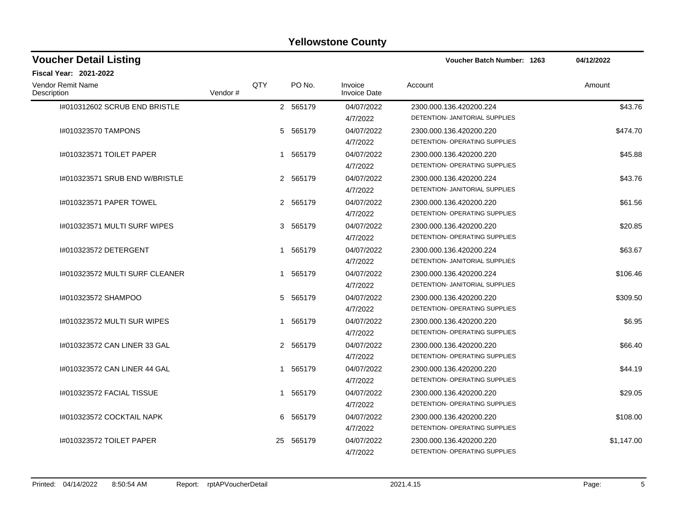| <b>Voucher Detail Listing</b>    |         |     |             |                                | <b>Voucher Batch Number: 1263</b>                         | 04/12/2022 |
|----------------------------------|---------|-----|-------------|--------------------------------|-----------------------------------------------------------|------------|
| <b>Fiscal Year: 2021-2022</b>    |         |     |             |                                |                                                           |            |
| Vendor Remit Name<br>Description | Vendor# | QTY | PO No.      | Invoice<br><b>Invoice Date</b> | Account                                                   | Amount     |
| I#010312602 SCRUB END BRISTLE    |         |     | 2 565179    | 04/07/2022<br>4/7/2022         | 2300.000.136.420200.224<br>DETENTION- JANITORIAL SUPPLIES | \$43.76    |
| I#010323570 TAMPONS              |         |     | 5 565179    | 04/07/2022<br>4/7/2022         | 2300.000.136.420200.220<br>DETENTION- OPERATING SUPPLIES  | \$474.70   |
| 1#010323571 TOILET PAPER         |         |     | 1 565179    | 04/07/2022<br>4/7/2022         | 2300.000.136.420200.220<br>DETENTION- OPERATING SUPPLIES  | \$45.88    |
| 1#010323571 SRUB END W/BRISTLE   |         |     | 2 565179    | 04/07/2022<br>4/7/2022         | 2300.000.136.420200.224<br>DETENTION- JANITORIAL SUPPLIES | \$43.76    |
| 1#010323571 PAPER TOWEL          |         |     | 2 565179    | 04/07/2022<br>4/7/2022         | 2300.000.136.420200.220<br>DETENTION- OPERATING SUPPLIES  | \$61.56    |
| I#010323571 MULTI SURF WIPES     |         |     | 3 565179    | 04/07/2022<br>4/7/2022         | 2300.000.136.420200.220<br>DETENTION- OPERATING SUPPLIES  | \$20.85    |
| #010323572 DETERGENT             |         |     | 1 565179    | 04/07/2022<br>4/7/2022         | 2300.000.136.420200.224<br>DETENTION- JANITORIAL SUPPLIES | \$63.67    |
| I#010323572 MULTI SURF CLEANER   |         |     | 1 565179    | 04/07/2022<br>4/7/2022         | 2300.000.136.420200.224<br>DETENTION- JANITORIAL SUPPLIES | \$106.46   |
| I#010323572 SHAMPOO              |         |     | 5 565179    | 04/07/2022<br>4/7/2022         | 2300.000.136.420200.220<br>DETENTION- OPERATING SUPPLIES  | \$309.50   |
| 1#010323572 MULTI SUR WIPES      |         |     | 1 565179    | 04/07/2022<br>4/7/2022         | 2300.000.136.420200.220<br>DETENTION- OPERATING SUPPLIES  | \$6.95     |
| 1#010323572 CAN LINER 33 GAL     |         |     | 2 565179    | 04/07/2022<br>4/7/2022         | 2300.000.136.420200.220<br>DETENTION- OPERATING SUPPLIES  | \$66.40    |
| 1#010323572 CAN LINER 44 GAL     |         |     | 1 565179    | 04/07/2022<br>4/7/2022         | 2300.000.136.420200.220<br>DETENTION- OPERATING SUPPLIES  | \$44.19    |
| I#010323572 FACIAL TISSUE        |         |     | 1 565179    | 04/07/2022<br>4/7/2022         | 2300.000.136.420200.220<br>DETENTION- OPERATING SUPPLIES  | \$29.05    |
| 1#010323572 COCKTAIL NAPK        |         |     | 565179<br>6 | 04/07/2022<br>4/7/2022         | 2300.000.136.420200.220<br>DETENTION- OPERATING SUPPLIES  | \$108.00   |
| 1#010323572 TOILET PAPER         |         | 25  | 565179      | 04/07/2022<br>4/7/2022         | 2300.000.136.420200.220<br>DETENTION- OPERATING SUPPLIES  | \$1,147.00 |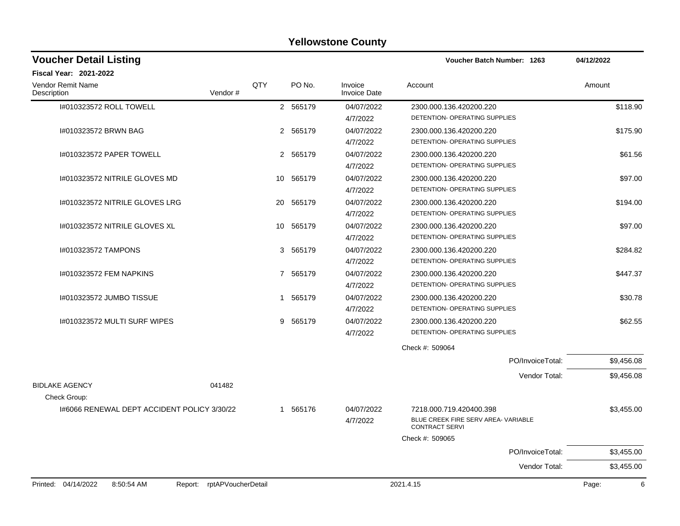| <b>Voucher Detail Listing</b>                                   |     |           |                                | Voucher Batch Number: 1263                            | 04/12/2022 |
|-----------------------------------------------------------------|-----|-----------|--------------------------------|-------------------------------------------------------|------------|
| Fiscal Year: 2021-2022                                          |     |           |                                |                                                       |            |
| Vendor Remit Name<br>Description<br>Vendor#                     | QTY | PO No.    | Invoice<br><b>Invoice Date</b> | Account                                               | Amount     |
| 1#010323572 ROLL TOWELL                                         |     | 2 565179  | 04/07/2022                     | 2300.000.136.420200.220                               | \$118.90   |
|                                                                 |     |           | 4/7/2022                       | DETENTION- OPERATING SUPPLIES                         |            |
| I#010323572 BRWN BAG                                            |     | 2 565179  | 04/07/2022                     | 2300.000.136.420200.220                               | \$175.90   |
|                                                                 |     |           | 4/7/2022                       | DETENTION- OPERATING SUPPLIES                         |            |
| 1#010323572 PAPER TOWELL                                        |     | 2 565179  | 04/07/2022                     | 2300.000.136.420200.220                               | \$61.56    |
|                                                                 |     |           | 4/7/2022                       | DETENTION- OPERATING SUPPLIES                         |            |
| I#010323572 NITRILE GLOVES MD                                   |     | 10 565179 | 04/07/2022                     | 2300.000.136.420200.220                               | \$97.00    |
|                                                                 |     |           | 4/7/2022                       | DETENTION- OPERATING SUPPLIES                         |            |
| 1#010323572 NITRILE GLOVES LRG                                  | 20  | 565179    | 04/07/2022                     | 2300.000.136.420200.220                               | \$194.00   |
|                                                                 |     |           | 4/7/2022                       | DETENTION- OPERATING SUPPLIES                         |            |
| I#010323572 NITRILE GLOVES XL                                   | 10  | 565179    | 04/07/2022                     | 2300.000.136.420200.220                               | \$97.00    |
|                                                                 |     |           | 4/7/2022                       | DETENTION- OPERATING SUPPLIES                         |            |
| I#010323572 TAMPONS                                             | 3   | 565179    | 04/07/2022                     | 2300.000.136.420200.220                               | \$284.82   |
|                                                                 |     |           | 4/7/2022                       | DETENTION- OPERATING SUPPLIES                         |            |
| I#010323572 FEM NAPKINS                                         | 7   | 565179    | 04/07/2022                     | 2300.000.136.420200.220                               | \$447.37   |
|                                                                 |     |           | 4/7/2022                       | DETENTION- OPERATING SUPPLIES                         |            |
| 1#010323572 JUMBO TISSUE                                        | 1   | 565179    | 04/07/2022                     | 2300.000.136.420200.220                               | \$30.78    |
|                                                                 |     |           | 4/7/2022                       | DETENTION- OPERATING SUPPLIES                         |            |
| I#010323572 MULTI SURF WIPES                                    | 9   | 565179    | 04/07/2022                     | 2300.000.136.420200.220                               | \$62.55    |
|                                                                 |     |           | 4/7/2022                       | DETENTION- OPERATING SUPPLIES                         |            |
|                                                                 |     |           |                                | Check #: 509064                                       |            |
|                                                                 |     |           |                                | PO/InvoiceTotal:                                      | \$9,456.08 |
|                                                                 |     |           |                                | Vendor Total:                                         | \$9,456.08 |
| <b>BIDLAKE AGENCY</b><br>041482<br>Check Group:                 |     |           |                                |                                                       |            |
| 1#6066 RENEWAL DEPT ACCIDENT POLICY 3/30/22                     |     | 1 565176  | 04/07/2022                     | 7218.000.719.420400.398                               | \$3,455.00 |
|                                                                 |     |           | 4/7/2022                       | BLUE CREEK FIRE SERV AREA- VARIABLE<br>CONTRACT SERVI |            |
|                                                                 |     |           |                                | Check #: 509065                                       |            |
|                                                                 |     |           |                                | PO/InvoiceTotal:                                      | \$3,455.00 |
|                                                                 |     |           |                                | Vendor Total:                                         | \$3,455.00 |
| Printed: 04/14/2022<br>8:50:54 AM<br>Report: rptAPVoucherDetail |     |           |                                | 2021.4.15                                             | 6<br>Page: |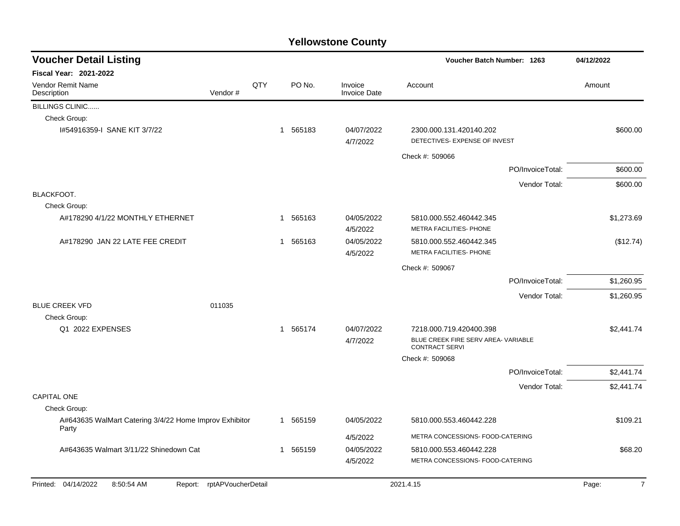| <b>Voucher Detail Listing</b>                                   |                    |     |          |                                | Voucher Batch Number: 1263                                   |                  | 04/12/2022              |
|-----------------------------------------------------------------|--------------------|-----|----------|--------------------------------|--------------------------------------------------------------|------------------|-------------------------|
| <b>Fiscal Year: 2021-2022</b>                                   |                    |     |          |                                |                                                              |                  |                         |
| Vendor Remit Name<br>Description                                | Vendor#            | QTY | PO No.   | Invoice<br><b>Invoice Date</b> | Account                                                      |                  | Amount                  |
| <b>BILLINGS CLINIC</b>                                          |                    |     |          |                                |                                                              |                  |                         |
| Check Group:                                                    |                    |     |          |                                |                                                              |                  |                         |
| 1#54916359-I SANE KIT 3/7/22                                    |                    |     | 1 565183 | 04/07/2022<br>4/7/2022         | 2300.000.131.420140.202<br>DETECTIVES- EXPENSE OF INVEST     |                  | \$600.00                |
|                                                                 |                    |     |          |                                | Check #: 509066                                              |                  |                         |
|                                                                 |                    |     |          |                                |                                                              | PO/InvoiceTotal: | \$600.00                |
|                                                                 |                    |     |          |                                |                                                              | Vendor Total:    | \$600.00                |
| <b>BLACKFOOT.</b>                                               |                    |     |          |                                |                                                              |                  |                         |
| Check Group:                                                    |                    |     |          |                                |                                                              |                  |                         |
| A#178290 4/1/22 MONTHLY ETHERNET                                |                    |     | 1 565163 | 04/05/2022<br>4/5/2022         | 5810.000.552.460442.345<br>METRA FACILITIES- PHONE           |                  | \$1,273.69              |
| A#178290 JAN 22 LATE FEE CREDIT                                 |                    |     | 1 565163 | 04/05/2022<br>4/5/2022         | 5810.000.552.460442.345<br>METRA FACILITIES- PHONE           |                  | (\$12.74)               |
|                                                                 |                    |     |          |                                | Check #: 509067                                              |                  |                         |
|                                                                 |                    |     |          |                                |                                                              | PO/InvoiceTotal: | \$1,260.95              |
|                                                                 |                    |     |          |                                |                                                              | Vendor Total:    | \$1,260.95              |
| <b>BLUE CREEK VFD</b>                                           | 011035             |     |          |                                |                                                              |                  |                         |
| Check Group:                                                    |                    |     |          |                                |                                                              |                  |                         |
| Q1 2022 EXPENSES                                                |                    |     | 1 565174 | 04/07/2022                     | 7218.000.719.420400.398                                      |                  | \$2,441.74              |
|                                                                 |                    |     |          | 4/7/2022                       | BLUE CREEK FIRE SERV AREA- VARIABLE<br><b>CONTRACT SERVI</b> |                  |                         |
|                                                                 |                    |     |          |                                | Check #: 509068                                              |                  |                         |
|                                                                 |                    |     |          |                                |                                                              | PO/InvoiceTotal: | \$2,441.74              |
|                                                                 |                    |     |          |                                |                                                              | Vendor Total:    | \$2,441.74              |
| <b>CAPITAL ONE</b>                                              |                    |     |          |                                |                                                              |                  |                         |
| Check Group:                                                    |                    |     |          |                                |                                                              |                  |                         |
| A#643635 WalMart Catering 3/4/22 Home Improv Exhibitor<br>Party |                    |     | 1 565159 | 04/05/2022                     | 5810.000.553.460442.228                                      |                  | \$109.21                |
|                                                                 |                    |     |          | 4/5/2022                       | METRA CONCESSIONS- FOOD-CATERING                             |                  |                         |
| A#643635 Walmart 3/11/22 Shinedown Cat                          |                    |     | 1 565159 | 04/05/2022<br>4/5/2022         | 5810.000.553.460442.228<br>METRA CONCESSIONS- FOOD-CATERING  |                  | \$68.20                 |
|                                                                 |                    |     |          |                                |                                                              |                  |                         |
| Printed: 04/14/2022<br>8:50:54 AM<br>Report:                    | rptAPVoucherDetail |     |          |                                | 2021.4.15                                                    |                  | $\overline{7}$<br>Page: |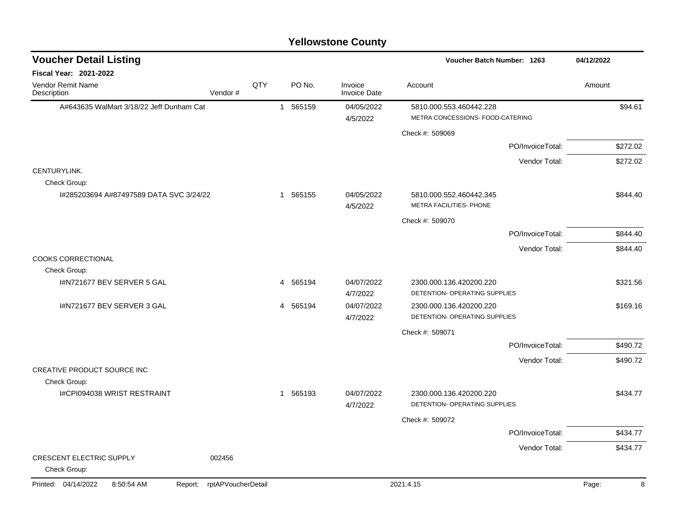| <b>Yellowstone County</b> |  |
|---------------------------|--|
|---------------------------|--|

| <b>Voucher Detail Listing</b>                |                    |     |          |                                | Voucher Batch Number: 1263                                  |                  | 04/12/2022 |
|----------------------------------------------|--------------------|-----|----------|--------------------------------|-------------------------------------------------------------|------------------|------------|
| <b>Fiscal Year: 2021-2022</b>                |                    |     |          |                                |                                                             |                  |            |
| Vendor Remit Name<br>Description             | Vendor#            | QTY | PO No.   | Invoice<br><b>Invoice Date</b> | Account                                                     |                  | Amount     |
| A#643635 WalMart 3/18/22 Jeff Dunham Cat     |                    |     | 1 565159 | 04/05/2022<br>4/5/2022         | 5810.000.553.460442.228<br>METRA CONCESSIONS- FOOD-CATERING |                  | \$94.61    |
|                                              |                    |     |          |                                | Check #: 509069                                             |                  |            |
|                                              |                    |     |          |                                |                                                             | PO/InvoiceTotal: | \$272.02   |
|                                              |                    |     |          |                                |                                                             | Vendor Total:    | \$272.02   |
| CENTURYLINK.<br>Check Group:                 |                    |     |          |                                |                                                             |                  |            |
| I#285203694 A#87497589 DATA SVC 3/24/22      |                    |     | 1 565155 | 04/05/2022<br>4/5/2022         | 5810.000.552.460442.345<br>METRA FACILITIES- PHONE          |                  | \$844.40   |
|                                              |                    |     |          |                                | Check #: 509070                                             |                  |            |
|                                              |                    |     |          |                                |                                                             | PO/InvoiceTotal: | \$844.40   |
|                                              |                    |     |          |                                |                                                             | Vendor Total:    | \$844.40   |
| <b>COOKS CORRECTIONAL</b>                    |                    |     |          |                                |                                                             |                  |            |
| Check Group:<br>I#N721677 BEV SERVER 5 GAL   |                    |     | 4 565194 | 04/07/2022                     | 2300.000.136.420200.220                                     |                  | \$321.56   |
|                                              |                    |     |          | 4/7/2022                       | DETENTION- OPERATING SUPPLIES                               |                  |            |
| I#N721677 BEV SERVER 3 GAL                   |                    |     | 4 565194 | 04/07/2022<br>4/7/2022         | 2300.000.136.420200.220<br>DETENTION- OPERATING SUPPLIES    |                  | \$169.16   |
|                                              |                    |     |          |                                | Check #: 509071                                             |                  |            |
|                                              |                    |     |          |                                |                                                             | PO/InvoiceTotal: | \$490.72   |
|                                              |                    |     |          |                                |                                                             | Vendor Total:    | \$490.72   |
| CREATIVE PRODUCT SOURCE INC                  |                    |     |          |                                |                                                             |                  |            |
| Check Group:                                 |                    |     |          |                                |                                                             |                  |            |
| I#CPI094038 WRIST RESTRAINT                  |                    |     | 1 565193 | 04/07/2022<br>4/7/2022         | 2300.000.136.420200.220<br>DETENTION- OPERATING SUPPLIES    |                  | \$434.77   |
|                                              |                    |     |          |                                | Check #: 509072                                             |                  |            |
|                                              |                    |     |          |                                |                                                             | PO/InvoiceTotal: | \$434.77   |
|                                              |                    |     |          |                                |                                                             | Vendor Total:    | \$434.77   |
| CRESCENT ELECTRIC SUPPLY<br>Check Group:     | 002456             |     |          |                                |                                                             |                  |            |
| Printed: 04/14/2022<br>8:50:54 AM<br>Report: | rptAPVoucherDetail |     |          |                                | 2021.4.15                                                   |                  | 8<br>Page: |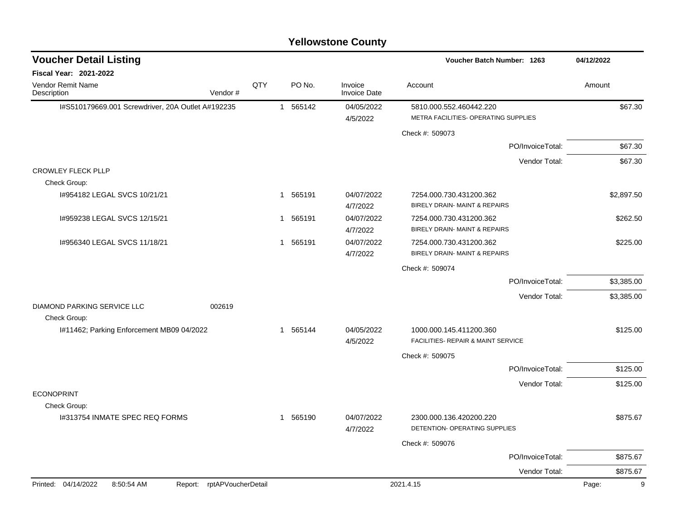|                                                                 |                |              |          | <b>Yellowstone County</b>      |                                                                 |                  |            |
|-----------------------------------------------------------------|----------------|--------------|----------|--------------------------------|-----------------------------------------------------------------|------------------|------------|
| <b>Voucher Detail Listing</b>                                   |                |              |          |                                | Voucher Batch Number: 1263                                      |                  | 04/12/2022 |
| Fiscal Year: 2021-2022                                          |                |              |          |                                |                                                                 |                  |            |
| Vendor Remit Name<br>Description                                | QTY<br>Vendor# |              | PO No.   | Invoice<br><b>Invoice Date</b> | Account                                                         |                  | Amount     |
| I#S510179669.001 Screwdriver, 20A Outlet A#192235               |                | 1            | 565142   | 04/05/2022<br>4/5/2022         | 5810.000.552.460442.220<br>METRA FACILITIES- OPERATING SUPPLIES |                  | \$67.30    |
|                                                                 |                |              |          |                                | Check #: 509073                                                 |                  |            |
|                                                                 |                |              |          |                                |                                                                 | PO/InvoiceTotal: | \$67.30    |
|                                                                 |                |              |          |                                |                                                                 | Vendor Total:    | \$67.30    |
| <b>CROWLEY FLECK PLLP</b>                                       |                |              |          |                                |                                                                 |                  |            |
| Check Group:                                                    |                |              |          |                                |                                                                 |                  |            |
| I#954182 LEGAL SVCS 10/21/21                                    |                | 1            | 565191   | 04/07/2022<br>4/7/2022         | 7254.000.730.431200.362<br>BIRELY DRAIN- MAINT & REPAIRS        |                  | \$2,897.50 |
| 1#959238 LEGAL SVCS 12/15/21                                    |                |              | 1 565191 | 04/07/2022<br>4/7/2022         | 7254.000.730.431200.362<br>BIRELY DRAIN- MAINT & REPAIRS        |                  | \$262.50   |
| 1#956340 LEGAL SVCS 11/18/21                                    |                | $\mathbf{1}$ | 565191   | 04/07/2022<br>4/7/2022         | 7254.000.730.431200.362<br>BIRELY DRAIN- MAINT & REPAIRS        |                  | \$225.00   |
|                                                                 |                |              |          |                                | Check #: 509074                                                 |                  |            |
|                                                                 |                |              |          |                                |                                                                 | PO/InvoiceTotal: | \$3,385.00 |
|                                                                 |                |              |          |                                |                                                                 | Vendor Total:    | \$3,385.00 |
| DIAMOND PARKING SERVICE LLC<br>Check Group:                     | 002619         |              |          |                                |                                                                 |                  |            |
| I#11462; Parking Enforcement MB09 04/2022                       |                | 1            | 565144   | 04/05/2022                     | 1000.000.145.411200.360                                         |                  | \$125.00   |
|                                                                 |                |              |          | 4/5/2022                       | <b>FACILITIES- REPAIR &amp; MAINT SERVICE</b>                   |                  |            |
|                                                                 |                |              |          |                                | Check #: 509075                                                 |                  |            |
|                                                                 |                |              |          |                                |                                                                 | PO/InvoiceTotal: | \$125.00   |
|                                                                 |                |              |          |                                |                                                                 | Vendor Total:    | \$125.00   |
| <b>ECONOPRINT</b>                                               |                |              |          |                                |                                                                 |                  |            |
| Check Group:                                                    |                |              |          |                                |                                                                 |                  |            |
| 1#313754 INMATE SPEC REQ FORMS                                  |                |              | 1 565190 | 04/07/2022<br>4/7/2022         | 2300.000.136.420200.220<br>DETENTION- OPERATING SUPPLIES        |                  | \$875.67   |
|                                                                 |                |              |          |                                | Check #: 509076                                                 |                  |            |
|                                                                 |                |              |          |                                |                                                                 | PO/InvoiceTotal: | \$875.67   |
|                                                                 |                |              |          |                                |                                                                 | Vendor Total:    | \$875.67   |
| Printed: 04/14/2022<br>Report: rptAPVoucherDetail<br>8:50:54 AM |                |              |          |                                | 2021.4.15                                                       |                  | 9<br>Page: |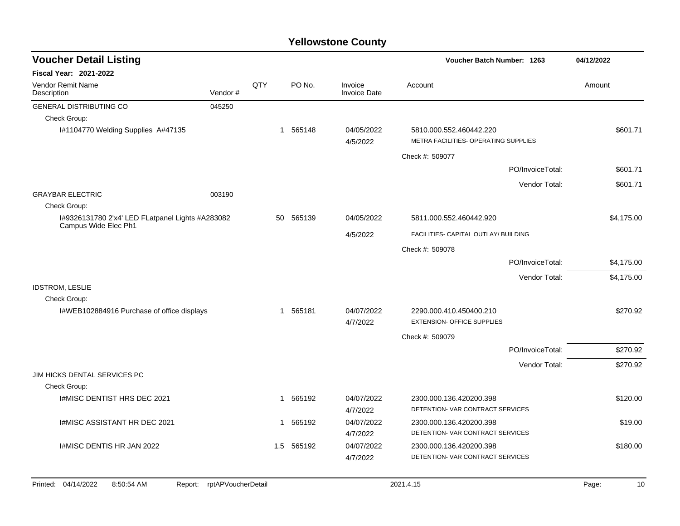| <b>Voucher Detail Listing</b>                                            |                    |     |            |                                | <b>Voucher Batch Number: 1263</b>                               |                  | 04/12/2022  |
|--------------------------------------------------------------------------|--------------------|-----|------------|--------------------------------|-----------------------------------------------------------------|------------------|-------------|
| <b>Fiscal Year: 2021-2022</b>                                            |                    |     |            |                                |                                                                 |                  |             |
| Vendor Remit Name<br>Description                                         | Vendor#            | QTY | PO No.     | Invoice<br><b>Invoice Date</b> | Account                                                         |                  | Amount      |
| <b>GENERAL DISTRIBUTING CO</b>                                           | 045250             |     |            |                                |                                                                 |                  |             |
| Check Group:                                                             |                    |     |            |                                |                                                                 |                  |             |
| I#1104770 Welding Supplies A#47135                                       |                    |     | 1 565148   | 04/05/2022<br>4/5/2022         | 5810.000.552.460442.220<br>METRA FACILITIES- OPERATING SUPPLIES |                  | \$601.71    |
|                                                                          |                    |     |            |                                | Check #: 509077                                                 |                  |             |
|                                                                          |                    |     |            |                                |                                                                 | PO/InvoiceTotal: | \$601.71    |
|                                                                          |                    |     |            |                                |                                                                 | Vendor Total:    | \$601.71    |
| <b>GRAYBAR ELECTRIC</b>                                                  | 003190             |     |            |                                |                                                                 |                  |             |
| Check Group:                                                             |                    |     |            |                                |                                                                 |                  |             |
| I#9326131780 2'x4' LED FLatpanel Lights #A283082<br>Campus Wide Elec Ph1 |                    |     | 50 565139  | 04/05/2022                     | 5811.000.552.460442.920                                         |                  | \$4,175.00  |
|                                                                          |                    |     |            | 4/5/2022                       | FACILITIES- CAPITAL OUTLAY/ BUILDING                            |                  |             |
|                                                                          |                    |     |            |                                | Check #: 509078                                                 |                  |             |
|                                                                          |                    |     |            |                                |                                                                 | PO/InvoiceTotal: | \$4,175.00  |
|                                                                          |                    |     |            |                                |                                                                 | Vendor Total:    | \$4,175.00  |
| <b>IDSTROM, LESLIE</b>                                                   |                    |     |            |                                |                                                                 |                  |             |
| Check Group:                                                             |                    |     |            |                                |                                                                 |                  |             |
| I#WEB102884916 Purchase of office displays                               |                    |     | 1 565181   | 04/07/2022                     | 2290.000.410.450400.210                                         |                  | \$270.92    |
|                                                                          |                    |     |            | 4/7/2022                       | <b>EXTENSION- OFFICE SUPPLIES</b>                               |                  |             |
|                                                                          |                    |     |            |                                | Check #: 509079                                                 |                  |             |
|                                                                          |                    |     |            |                                |                                                                 | PO/InvoiceTotal: | \$270.92    |
|                                                                          |                    |     |            |                                |                                                                 | Vendor Total:    | \$270.92    |
| JIM HICKS DENTAL SERVICES PC                                             |                    |     |            |                                |                                                                 |                  |             |
| Check Group:                                                             |                    |     |            |                                |                                                                 |                  |             |
| I#MISC DENTIST HRS DEC 2021                                              |                    |     | 1 565192   | 04/07/2022<br>4/7/2022         | 2300.000.136.420200.398<br>DETENTION- VAR CONTRACT SERVICES     |                  | \$120.00    |
|                                                                          |                    |     |            |                                |                                                                 |                  |             |
| <b>I#MISC ASSISTANT HR DEC 2021</b>                                      |                    |     | 1 565192   | 04/07/2022<br>4/7/2022         | 2300.000.136.420200.398<br>DETENTION- VAR CONTRACT SERVICES     |                  | \$19.00     |
| I#MISC DENTIS HR JAN 2022                                                |                    |     | 1.5 565192 | 04/07/2022                     | 2300.000.136.420200.398                                         |                  | \$180.00    |
|                                                                          |                    |     |            | 4/7/2022                       | DETENTION- VAR CONTRACT SERVICES                                |                  |             |
|                                                                          |                    |     |            |                                |                                                                 |                  |             |
| Printed: 04/14/2022<br>8:50:54 AM<br>Report:                             | rptAPVoucherDetail |     |            |                                | 2021.4.15                                                       |                  | Page:<br>10 |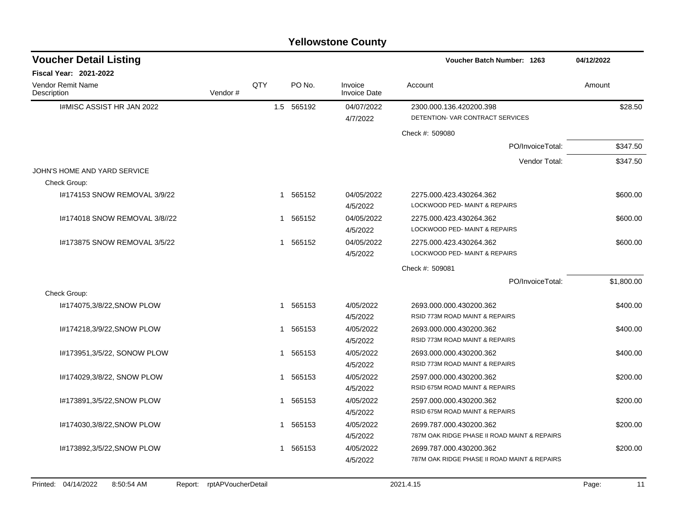| Voucher Batch Number: 1263<br>04/12/2022                                                            |  |              |         | <b>Voucher Detail Listing</b>           |
|-----------------------------------------------------------------------------------------------------|--|--------------|---------|-----------------------------------------|
|                                                                                                     |  |              |         | <b>Fiscal Year: 2021-2022</b>           |
| PO No.<br>Invoice<br>Account<br>Amount<br><b>Invoice Date</b>                                       |  | QTY          | Vendor# | <b>Vendor Remit Name</b><br>Description |
| 1.5 565192<br>04/07/2022<br>2300.000.136.420200.398<br>DETENTION- VAR CONTRACT SERVICES<br>4/7/2022 |  |              |         | I#MISC ASSIST HR JAN 2022               |
| Check #: 509080                                                                                     |  |              |         |                                         |
| PO/InvoiceTotal:                                                                                    |  |              |         |                                         |
| Vendor Total:                                                                                       |  |              |         |                                         |
|                                                                                                     |  |              |         | JOHN'S HOME AND YARD SERVICE            |
|                                                                                                     |  |              |         | Check Group:                            |
| 565152<br>04/05/2022<br>2275.000.423.430264.362                                                     |  | $\mathbf{1}$ |         | I#174153 SNOW REMOVAL 3/9/22            |
| LOCKWOOD PED- MAINT & REPAIRS<br>4/5/2022                                                           |  |              |         |                                         |
| 1 565152<br>04/05/2022<br>2275.000.423.430264.362<br>LOCKWOOD PED- MAINT & REPAIRS<br>4/5/2022      |  |              |         | I#174018 SNOW REMOVAL 3/8//22           |
| 565152<br>04/05/2022<br>2275.000.423.430264.362                                                     |  | 1            |         | I#173875 SNOW REMOVAL 3/5/22            |
| LOCKWOOD PED- MAINT & REPAIRS<br>4/5/2022                                                           |  |              |         |                                         |
| Check #: 509081                                                                                     |  |              |         |                                         |
| \$1,800.00<br>PO/InvoiceTotal:                                                                      |  |              |         |                                         |
|                                                                                                     |  |              |         | Check Group:                            |
| 4/05/2022<br>565153<br>2693.000.000.430200.362<br>RSID 773M ROAD MAINT & REPAIRS                    |  | 1            |         | I#174075,3/8/22, SNOW PLOW              |
| 4/5/2022                                                                                            |  |              |         |                                         |
| 565153<br>4/05/2022<br>2693.000.000.430200.362<br>RSID 773M ROAD MAINT & REPAIRS<br>4/5/2022        |  | 1            |         | #174218,3/9/22,SNOW PLOW                |
| 1 565153<br>4/05/2022<br>2693.000.000.430200.362                                                    |  |              |         | I#173951,3/5/22, SONOW PLOW             |
| RSID 773M ROAD MAINT & REPAIRS<br>4/5/2022                                                          |  |              |         |                                         |
| 565153<br>4/05/2022<br>2597.000.000.430200.362                                                      |  | 1            |         | I#174029,3/8/22, SNOW PLOW              |
| RSID 675M ROAD MAINT & REPAIRS<br>4/5/2022                                                          |  |              |         |                                         |
| 565153<br>4/05/2022<br>2597.000.000.430200.362                                                      |  | 1            |         | I#173891,3/5/22, SNOW PLOW              |
| RSID 675M ROAD MAINT & REPAIRS<br>4/5/2022                                                          |  |              |         |                                         |
| 1 565153<br>4/05/2022<br>2699.787.000.430200.362                                                    |  |              |         | I#174030,3/8/22, SNOW PLOW              |
| 787M OAK RIDGE PHASE II ROAD MAINT & REPAIRS<br>4/5/2022                                            |  |              |         |                                         |
| 4/05/2022<br>1 565153<br>2699.787.000.430200.362                                                    |  |              |         | I#173892,3/5/22, SNOW PLOW              |
| 787M OAK RIDGE PHASE II ROAD MAINT & REPAIRS<br>4/5/2022                                            |  |              |         |                                         |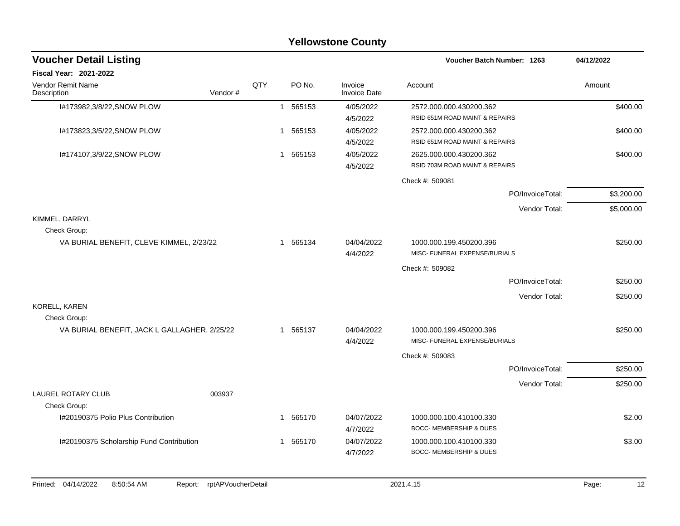|                                                          |                    |   |          | <b>Yellowstone County</b>      |                                                           |                  |             |
|----------------------------------------------------------|--------------------|---|----------|--------------------------------|-----------------------------------------------------------|------------------|-------------|
| <b>Voucher Detail Listing</b>                            |                    |   |          |                                | Voucher Batch Number: 1263                                |                  | 04/12/2022  |
| Fiscal Year: 2021-2022                                   |                    |   |          |                                |                                                           |                  |             |
| Vendor Remit Name<br>Vendor#<br>Description              | QTY                |   | PO No.   | Invoice<br><b>Invoice Date</b> | Account                                                   |                  | Amount      |
| I#173982,3/8/22, SNOW PLOW                               |                    |   | 1 565153 | 4/05/2022<br>4/5/2022          | 2572.000.000.430200.362<br>RSID 651M ROAD MAINT & REPAIRS |                  | \$400.00    |
| I#173823,3/5/22, SNOW PLOW                               |                    | 1 | 565153   | 4/05/2022<br>4/5/2022          | 2572.000.000.430200.362<br>RSID 651M ROAD MAINT & REPAIRS |                  | \$400.00    |
| I#174107,3/9/22, SNOW PLOW                               |                    |   | 1 565153 | 4/05/2022<br>4/5/2022          | 2625.000.000.430200.362<br>RSID 703M ROAD MAINT & REPAIRS |                  | \$400.00    |
|                                                          |                    |   |          |                                | Check #: 509081                                           |                  |             |
|                                                          |                    |   |          |                                |                                                           | PO/InvoiceTotal: | \$3,200.00  |
|                                                          |                    |   |          |                                |                                                           | Vendor Total:    | \$5,000.00  |
| KIMMEL, DARRYL                                           |                    |   |          |                                |                                                           |                  |             |
| Check Group:<br>VA BURIAL BENEFIT, CLEVE KIMMEL, 2/23/22 |                    |   | 1 565134 | 04/04/2022<br>4/4/2022         | 1000.000.199.450200.396<br>MISC- FUNERAL EXPENSE/BURIALS  |                  | \$250.00    |
|                                                          |                    |   |          |                                | Check #: 509082                                           |                  |             |
|                                                          |                    |   |          |                                |                                                           | PO/InvoiceTotal: | \$250.00    |
|                                                          |                    |   |          |                                |                                                           | Vendor Total:    | \$250.00    |
| KORELL, KAREN<br>Check Group:                            |                    |   |          |                                |                                                           |                  |             |
| VA BURIAL BENEFIT, JACK L GALLAGHER, 2/25/22             |                    |   | 1 565137 | 04/04/2022<br>4/4/2022         | 1000.000.199.450200.396<br>MISC- FUNERAL EXPENSE/BURIALS  |                  | \$250.00    |
|                                                          |                    |   |          |                                | Check #: 509083                                           |                  |             |
|                                                          |                    |   |          |                                |                                                           | PO/InvoiceTotal: | \$250.00    |
|                                                          |                    |   |          |                                |                                                           | Vendor Total:    | \$250.00    |
| <b>LAUREL ROTARY CLUB</b><br>003937                      |                    |   |          |                                |                                                           |                  |             |
| Check Group:                                             |                    |   |          |                                |                                                           |                  |             |
| I#20190375 Polio Plus Contribution                       |                    |   | 1 565170 | 04/07/2022<br>4/7/2022         | 1000.000.100.410100.330<br>BOCC- MEMBERSHIP & DUES        |                  | \$2.00      |
| I#20190375 Scholarship Fund Contribution                 |                    |   | 1 565170 | 04/07/2022<br>4/7/2022         | 1000.000.100.410100.330<br>BOCC- MEMBERSHIP & DUES        |                  | \$3.00      |
| 04/14/2022<br>8:50:54 AM<br>Printed:<br>Report:          | rptAPVoucherDetail |   |          |                                | 2021.4.15                                                 |                  | Page:<br>12 |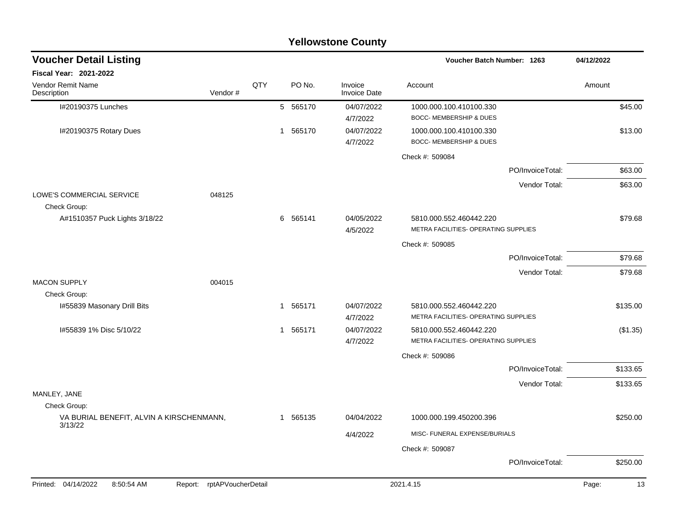|                                           |                            |     |   |          | <b>Yellowstone County</b>      |                                                                 |                  |            |          |
|-------------------------------------------|----------------------------|-----|---|----------|--------------------------------|-----------------------------------------------------------------|------------------|------------|----------|
| <b>Voucher Detail Listing</b>             |                            |     |   |          |                                | Voucher Batch Number: 1263                                      |                  | 04/12/2022 |          |
| Fiscal Year: 2021-2022                    |                            |     |   |          |                                |                                                                 |                  |            |          |
| Vendor Remit Name<br>Description          | Vendor#                    | QTY |   | PO No.   | Invoice<br><b>Invoice Date</b> | Account                                                         |                  | Amount     |          |
| I#20190375 Lunches                        |                            |     |   | 5 565170 | 04/07/2022<br>4/7/2022         | 1000.000.100.410100.330<br><b>BOCC- MEMBERSHIP &amp; DUES</b>   |                  |            | \$45.00  |
| I#20190375 Rotary Dues                    |                            |     | 1 | 565170   | 04/07/2022<br>4/7/2022         | 1000.000.100.410100.330<br>BOCC- MEMBERSHIP & DUES              |                  |            | \$13.00  |
|                                           |                            |     |   |          |                                | Check #: 509084                                                 |                  |            |          |
|                                           |                            |     |   |          |                                |                                                                 | PO/InvoiceTotal: |            | \$63.00  |
|                                           |                            |     |   |          |                                |                                                                 | Vendor Total:    |            | \$63.00  |
| LOWE'S COMMERCIAL SERVICE<br>Check Group: | 048125                     |     |   |          |                                |                                                                 |                  |            |          |
| A#1510357 Puck Lights 3/18/22             |                            |     |   | 6 565141 | 04/05/2022                     | 5810.000.552.460442.220                                         |                  |            | \$79.68  |
|                                           |                            |     |   |          | 4/5/2022                       | METRA FACILITIES- OPERATING SUPPLIES                            |                  |            |          |
|                                           |                            |     |   |          |                                | Check #: 509085                                                 |                  |            |          |
|                                           |                            |     |   |          |                                |                                                                 | PO/InvoiceTotal: |            | \$79.68  |
| <b>MACON SUPPLY</b>                       | 004015                     |     |   |          |                                |                                                                 | Vendor Total:    |            | \$79.68  |
| Check Group:                              |                            |     |   |          |                                |                                                                 |                  |            |          |
| I#55839 Masonary Drill Bits               |                            |     | 1 | 565171   | 04/07/2022<br>4/7/2022         | 5810.000.552.460442.220<br>METRA FACILITIES- OPERATING SUPPLIES |                  |            | \$135.00 |
| I#55839 1% Disc 5/10/22                   |                            |     | 1 | 565171   | 04/07/2022                     | 5810.000.552.460442.220                                         |                  |            | (\$1.35) |
|                                           |                            |     |   |          | 4/7/2022                       | METRA FACILITIES- OPERATING SUPPLIES                            |                  |            |          |
|                                           |                            |     |   |          |                                | Check #: 509086                                                 |                  |            |          |
|                                           |                            |     |   |          |                                |                                                                 | PO/InvoiceTotal: |            | \$133.65 |
|                                           |                            |     |   |          |                                |                                                                 | Vendor Total:    |            | \$133.65 |
| MANLEY, JANE<br>Check Group:              |                            |     |   |          |                                |                                                                 |                  |            |          |
| VA BURIAL BENEFIT, ALVIN A KIRSCHENMANN,  |                            |     |   | 1 565135 | 04/04/2022                     | 1000.000.199.450200.396                                         |                  |            | \$250.00 |
| 3/13/22                                   |                            |     |   |          | 4/4/2022                       | MISC- FUNERAL EXPENSE/BURIALS                                   |                  |            |          |
|                                           |                            |     |   |          |                                | Check #: 509087                                                 |                  |            |          |
|                                           |                            |     |   |          |                                |                                                                 | PO/InvoiceTotal: |            | \$250.00 |
| Printed: 04/14/2022<br>8:50:54 AM         | Report: rptAPVoucherDetail |     |   |          |                                | 2021.4.15                                                       |                  | Page:      |          |
|                                           |                            |     |   |          |                                |                                                                 |                  |            | 13       |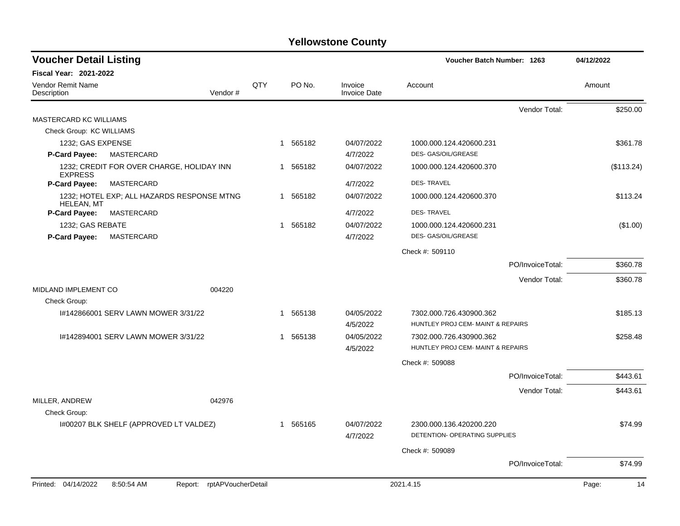| <b>Voucher Detail Listing</b>      |                                             |     |                        |                                | Voucher Batch Number: 1263                               |                  | 04/12/2022  |
|------------------------------------|---------------------------------------------|-----|------------------------|--------------------------------|----------------------------------------------------------|------------------|-------------|
| <b>Fiscal Year: 2021-2022</b>      |                                             |     |                        |                                |                                                          |                  |             |
| Vendor Remit Name<br>Description   | Vendor#                                     | QTY | PO No.                 | Invoice<br><b>Invoice Date</b> | Account                                                  |                  | Amount      |
|                                    |                                             |     |                        |                                |                                                          | Vendor Total:    | \$250.00    |
| MASTERCARD KC WILLIAMS             |                                             |     |                        |                                |                                                          |                  |             |
| Check Group: KC WILLIAMS           |                                             |     |                        |                                |                                                          |                  |             |
| 1232; GAS EXPENSE                  |                                             |     | 1 565182               | 04/07/2022                     | 1000.000.124.420600.231                                  |                  | \$361.78    |
| P-Card Payee:                      | MASTERCARD                                  |     |                        | 4/7/2022                       | DES- GAS/OIL/GREASE                                      |                  |             |
| <b>EXPRESS</b>                     | 1232; CREDIT FOR OVER CHARGE, HOLIDAY INN   |     | 1 565182               | 04/07/2022                     | 1000.000.124.420600.370                                  |                  | (\$113.24)  |
| P-Card Payee:                      | MASTERCARD                                  |     |                        | 4/7/2022                       | <b>DES-TRAVEL</b>                                        |                  |             |
| <b>HELEAN, MT</b>                  | 1232; HOTEL EXP; ALL HAZARDS RESPONSE MTNG  |     | 1 565182               | 04/07/2022                     | 1000.000.124.420600.370                                  |                  | \$113.24    |
| P-Card Payee:                      | MASTERCARD                                  |     |                        | 4/7/2022                       | <b>DES-TRAVEL</b>                                        |                  |             |
| 1232; GAS REBATE                   |                                             |     | 1 565182               | 04/07/2022                     | 1000.000.124.420600.231                                  |                  | (\$1.00)    |
| <b>P-Card Payee:</b><br>MASTERCARD |                                             |     |                        | 4/7/2022                       | DES- GAS/OIL/GREASE                                      |                  |             |
|                                    |                                             |     |                        |                                | Check #: 509110                                          |                  |             |
|                                    |                                             |     |                        |                                |                                                          | PO/InvoiceTotal: | \$360.78    |
|                                    |                                             |     |                        |                                |                                                          | Vendor Total:    | \$360.78    |
| <b>MIDLAND IMPLEMENT CO</b>        | 004220                                      |     |                        |                                |                                                          |                  |             |
| Check Group:                       |                                             |     |                        |                                |                                                          |                  |             |
|                                    | 1#142866001 SERV LAWN MOWER 3/31/22         |     | 1 565138               | 04/05/2022                     | 7302.000.726.430900.362                                  |                  | \$185.13    |
|                                    |                                             |     |                        | 4/5/2022                       | HUNTLEY PROJ CEM- MAINT & REPAIRS                        |                  |             |
|                                    | I#142894001 SERV LAWN MOWER 3/31/22         |     | 565138<br>$\mathbf{1}$ | 04/05/2022                     | 7302.000.726.430900.362                                  |                  | \$258.48    |
|                                    |                                             |     |                        | 4/5/2022                       | HUNTLEY PROJ CEM- MAINT & REPAIRS                        |                  |             |
|                                    |                                             |     |                        |                                | Check #: 509088                                          |                  |             |
|                                    |                                             |     |                        |                                |                                                          | PO/InvoiceTotal: | \$443.61    |
|                                    |                                             |     |                        |                                |                                                          | Vendor Total:    | \$443.61    |
| MILLER, ANDREW                     | 042976                                      |     |                        |                                |                                                          |                  |             |
| Check Group:                       |                                             |     |                        |                                |                                                          |                  |             |
|                                    | I#00207 BLK SHELF (APPROVED LT VALDEZ)      |     | 1 565165               | 04/07/2022<br>4/7/2022         | 2300.000.136.420200.220<br>DETENTION- OPERATING SUPPLIES |                  | \$74.99     |
|                                    |                                             |     |                        |                                | Check #: 509089                                          |                  |             |
|                                    |                                             |     |                        |                                |                                                          | PO/InvoiceTotal: | \$74.99     |
| Printed: 04/14/2022                | 8:50:54 AM<br>rptAPVoucherDetail<br>Report: |     |                        |                                | 2021.4.15                                                |                  | Page:<br>14 |
|                                    |                                             |     |                        |                                |                                                          |                  |             |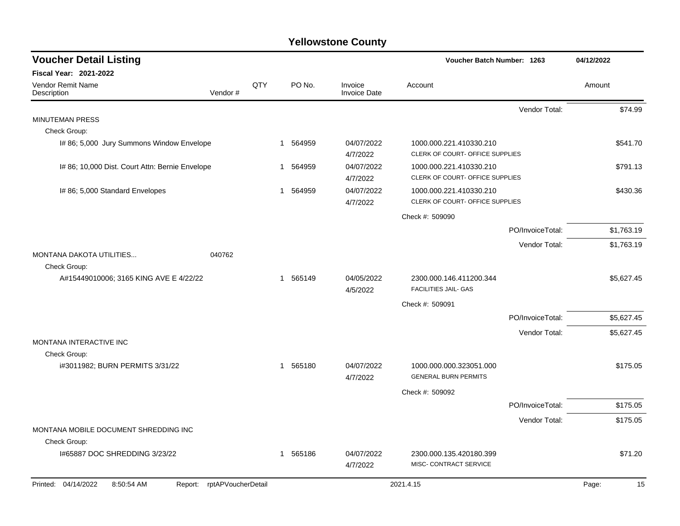| <b>Voucher Detail Listing</b>                   |                    |     |                        |                                | <b>Voucher Batch Number: 1263</b>                          |                  | 04/12/2022  |
|-------------------------------------------------|--------------------|-----|------------------------|--------------------------------|------------------------------------------------------------|------------------|-------------|
| <b>Fiscal Year: 2021-2022</b>                   |                    |     |                        |                                |                                                            |                  |             |
| Vendor Remit Name<br>Description                | Vendor#            | QTY | PO No.                 | Invoice<br><b>Invoice Date</b> | Account                                                    |                  | Amount      |
|                                                 |                    |     |                        |                                |                                                            | Vendor Total:    | \$74.99     |
| <b>MINUTEMAN PRESS</b>                          |                    |     |                        |                                |                                                            |                  |             |
| Check Group:                                    |                    |     |                        |                                |                                                            |                  |             |
| I# 86; 5,000 Jury Summons Window Envelope       |                    |     | 564959<br>$\mathbf{1}$ | 04/07/2022<br>4/7/2022         | 1000.000.221.410330.210<br>CLERK OF COURT- OFFICE SUPPLIES |                  | \$541.70    |
| I# 86; 10,000 Dist. Court Attn: Bernie Envelope |                    |     | 564959<br>1            | 04/07/2022<br>4/7/2022         | 1000.000.221.410330.210<br>CLERK OF COURT- OFFICE SUPPLIES |                  | \$791.13    |
| I# 86; 5,000 Standard Envelopes                 |                    |     | 1 564959               | 04/07/2022<br>4/7/2022         | 1000.000.221.410330.210<br>CLERK OF COURT- OFFICE SUPPLIES |                  | \$430.36    |
|                                                 |                    |     |                        |                                | Check #: 509090                                            |                  |             |
|                                                 |                    |     |                        |                                |                                                            | PO/InvoiceTotal: | \$1,763.19  |
|                                                 |                    |     |                        |                                |                                                            | Vendor Total:    | \$1,763.19  |
| <b>MONTANA DAKOTA UTILITIES</b><br>Check Group: | 040762             |     |                        |                                |                                                            |                  |             |
| A#15449010006; 3165 KING AVE E 4/22/22          |                    |     | 1 565149               | 04/05/2022<br>4/5/2022         | 2300.000.146.411200.344<br><b>FACILITIES JAIL- GAS</b>     |                  | \$5,627.45  |
|                                                 |                    |     |                        |                                | Check #: 509091                                            |                  |             |
|                                                 |                    |     |                        |                                |                                                            | PO/InvoiceTotal: | \$5,627.45  |
|                                                 |                    |     |                        |                                |                                                            | Vendor Total:    | \$5,627.45  |
| MONTANA INTERACTIVE INC                         |                    |     |                        |                                |                                                            |                  |             |
| Check Group:                                    |                    |     |                        |                                |                                                            |                  |             |
| i#3011982; BURN PERMITS 3/31/22                 |                    |     | 1 565180               | 04/07/2022<br>4/7/2022         | 1000.000.000.323051.000<br><b>GENERAL BURN PERMITS</b>     |                  | \$175.05    |
|                                                 |                    |     |                        |                                | Check #: 509092                                            |                  |             |
|                                                 |                    |     |                        |                                |                                                            | PO/InvoiceTotal: | \$175.05    |
|                                                 |                    |     |                        |                                |                                                            | Vendor Total:    | \$175.05    |
| MONTANA MOBILE DOCUMENT SHREDDING INC           |                    |     |                        |                                |                                                            |                  |             |
| Check Group:                                    |                    |     |                        |                                |                                                            |                  |             |
| I#65887 DOC SHREDDING 3/23/22                   |                    |     | 1 565186               | 04/07/2022<br>4/7/2022         | 2300.000.135.420180.399<br>MISC- CONTRACT SERVICE          |                  | \$71.20     |
| Printed: 04/14/2022<br>8:50:54 AM<br>Report:    | rptAPVoucherDetail |     |                        |                                | 2021.4.15                                                  |                  | 15<br>Page: |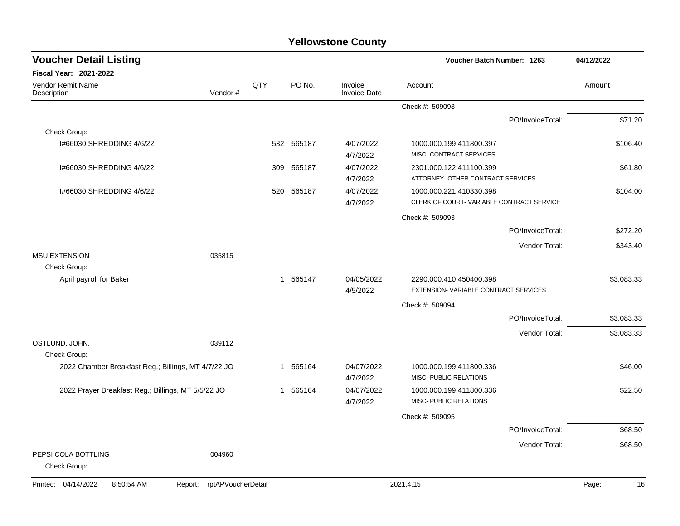| <b>Voucher Detail Listing</b>                       |                               |     |            |                                | Voucher Batch Number: 1263                                          |                  | 04/12/2022  |
|-----------------------------------------------------|-------------------------------|-----|------------|--------------------------------|---------------------------------------------------------------------|------------------|-------------|
| <b>Fiscal Year: 2021-2022</b>                       |                               |     |            |                                |                                                                     |                  |             |
| <b>Vendor Remit Name</b><br>Description             | Vendor#                       | QTY | PO No.     | Invoice<br><b>Invoice Date</b> | Account                                                             |                  | Amount      |
|                                                     |                               |     |            |                                | Check #: 509093                                                     |                  |             |
|                                                     |                               |     |            |                                |                                                                     | PO/InvoiceTotal: | \$71.20     |
| Check Group:                                        |                               |     |            |                                |                                                                     |                  |             |
| I#66030 SHREDDING 4/6/22                            |                               |     | 532 565187 | 4/07/2022<br>4/7/2022          | 1000.000.199.411800.397<br>MISC- CONTRACT SERVICES                  |                  | \$106.40    |
| 1#66030 SHREDDING 4/6/22                            |                               | 309 | 565187     | 4/07/2022<br>4/7/2022          | 2301.000.122.411100.399<br>ATTORNEY- OTHER CONTRACT SERVICES        |                  | \$61.80     |
| 1#66030 SHREDDING 4/6/22                            |                               | 520 | 565187     | 4/07/2022<br>4/7/2022          | 1000.000.221.410330.398<br>CLERK OF COURT-VARIABLE CONTRACT SERVICE |                  | \$104.00    |
|                                                     |                               |     |            |                                | Check #: 509093                                                     |                  |             |
|                                                     |                               |     |            |                                |                                                                     | PO/InvoiceTotal: | \$272.20    |
|                                                     |                               |     |            |                                |                                                                     | Vendor Total:    | \$343.40    |
| <b>MSU EXTENSION</b><br>Check Group:                | 035815                        |     |            |                                |                                                                     |                  |             |
| April payroll for Baker                             |                               |     | 1 565147   | 04/05/2022<br>4/5/2022         | 2290.000.410.450400.398<br>EXTENSION-VARIABLE CONTRACT SERVICES     |                  | \$3,083.33  |
|                                                     |                               |     |            |                                | Check #: 509094                                                     |                  |             |
|                                                     |                               |     |            |                                |                                                                     | PO/InvoiceTotal: | \$3,083.33  |
|                                                     |                               |     |            |                                |                                                                     | Vendor Total:    | \$3,083.33  |
| OSTLUND, JOHN.                                      | 039112                        |     |            |                                |                                                                     |                  |             |
| Check Group:                                        |                               |     |            |                                |                                                                     |                  |             |
| 2022 Chamber Breakfast Reg.; Billings, MT 4/7/22 JO |                               | -1  | 565164     | 04/07/2022<br>4/7/2022         | 1000.000.199.411800.336<br>MISC- PUBLIC RELATIONS                   |                  | \$46.00     |
| 2022 Prayer Breakfast Reg.; Billings, MT 5/5/22 JO  |                               | 1   | 565164     | 04/07/2022<br>4/7/2022         | 1000.000.199.411800.336<br>MISC- PUBLIC RELATIONS                   |                  | \$22.50     |
|                                                     |                               |     |            |                                | Check #: 509095                                                     |                  |             |
|                                                     |                               |     |            |                                |                                                                     | PO/InvoiceTotal: | \$68.50     |
|                                                     |                               |     |            |                                |                                                                     | Vendor Total:    | \$68.50     |
| PEPSI COLA BOTTLING<br>Check Group:                 | 004960                        |     |            |                                |                                                                     |                  |             |
| Printed: 04/14/2022<br>8:50:54 AM                   | rptAPVoucherDetail<br>Report: |     |            |                                | 2021.4.15                                                           |                  | Page:<br>16 |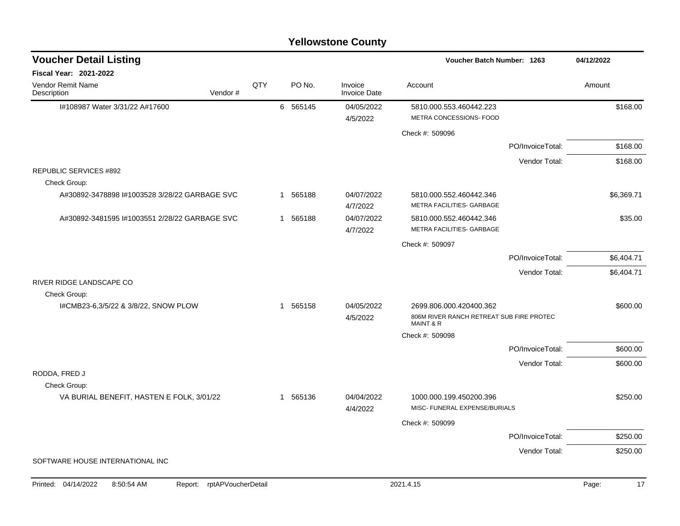|                                               |                            |     |             | <b>Yellowstone County</b>      |                                                                                  |                  |             |
|-----------------------------------------------|----------------------------|-----|-------------|--------------------------------|----------------------------------------------------------------------------------|------------------|-------------|
| <b>Voucher Detail Listing</b>                 |                            |     |             |                                | Voucher Batch Number: 1263                                                       |                  | 04/12/2022  |
| Fiscal Year: 2021-2022                        |                            |     |             |                                |                                                                                  |                  |             |
| Vendor Remit Name<br>Description              | Vendor#                    | QTY | PO No.      | Invoice<br><b>Invoice Date</b> | Account                                                                          |                  | Amount      |
| I#108987 Water 3/31/22 A#17600                |                            |     | 6 565145    | 04/05/2022                     | 5810.000.553.460442.223                                                          |                  | \$168.00    |
|                                               |                            |     |             | 4/5/2022                       | METRA CONCESSIONS- FOOD                                                          |                  |             |
|                                               |                            |     |             |                                | Check #: 509096                                                                  |                  |             |
|                                               |                            |     |             |                                |                                                                                  | PO/InvoiceTotal: | \$168.00    |
|                                               |                            |     |             |                                |                                                                                  | Vendor Total:    | \$168.00    |
| <b>REPUBLIC SERVICES #892</b>                 |                            |     |             |                                |                                                                                  |                  |             |
| Check Group:                                  |                            |     |             |                                |                                                                                  |                  |             |
| A#30892-3478898 I#1003528 3/28/22 GARBAGE SVC |                            |     | 565188<br>1 | 04/07/2022<br>4/7/2022         | 5810.000.552.460442.346<br>METRA FACILITIES- GARBAGE                             |                  | \$6,369.71  |
| A#30892-3481595 I#1003551 2/28/22 GARBAGE SVC |                            |     | 1 565188    | 04/07/2022                     | 5810.000.552.460442.346                                                          |                  | \$35.00     |
|                                               |                            |     | 4/7/2022    | METRA FACILITIES- GARBAGE      |                                                                                  |                  |             |
|                                               |                            |     |             |                                | Check #: 509097                                                                  |                  |             |
|                                               |                            |     |             |                                |                                                                                  | PO/InvoiceTotal: | \$6,404.71  |
|                                               |                            |     |             |                                |                                                                                  | Vendor Total:    | \$6,404.71  |
| RIVER RIDGE LANDSCAPE CO                      |                            |     |             |                                |                                                                                  |                  |             |
| Check Group:                                  |                            |     |             |                                |                                                                                  |                  |             |
| I#CMB23-6,3/5/22 & 3/8/22, SNOW PLOW          |                            |     | 1 565158    | 04/05/2022<br>4/5/2022         | 2699.806.000.420400.362<br>806M RIVER RANCH RETREAT SUB FIRE PROTEC<br>MAINT & R |                  | \$600.00    |
|                                               |                            |     |             |                                | Check #: 509098                                                                  |                  |             |
|                                               |                            |     |             |                                |                                                                                  | PO/InvoiceTotal: | \$600.00    |
|                                               |                            |     |             |                                |                                                                                  | Vendor Total:    | \$600.00    |
| RODDA, FRED J                                 |                            |     |             |                                |                                                                                  |                  |             |
| Check Group:                                  |                            |     |             |                                |                                                                                  |                  |             |
| VA BURIAL BENEFIT, HASTEN E FOLK, 3/01/22     |                            |     | 565136<br>1 | 04/04/2022<br>4/4/2022         | 1000.000.199.450200.396<br>MISC- FUNERAL EXPENSE/BURIALS                         |                  | \$250.00    |
|                                               |                            |     |             |                                | Check #: 509099                                                                  |                  |             |
|                                               |                            |     |             |                                |                                                                                  | PO/InvoiceTotal: | \$250.00    |
|                                               |                            |     |             |                                |                                                                                  | Vendor Total:    | \$250.00    |
| SOFTWARE HOUSE INTERNATIONAL INC              |                            |     |             |                                |                                                                                  |                  |             |
|                                               |                            |     |             |                                |                                                                                  |                  |             |
| Printed: 04/14/2022<br>8:50:54 AM             | Report: rptAPVoucherDetail |     |             |                                | 2021.4.15                                                                        |                  | 17<br>Page: |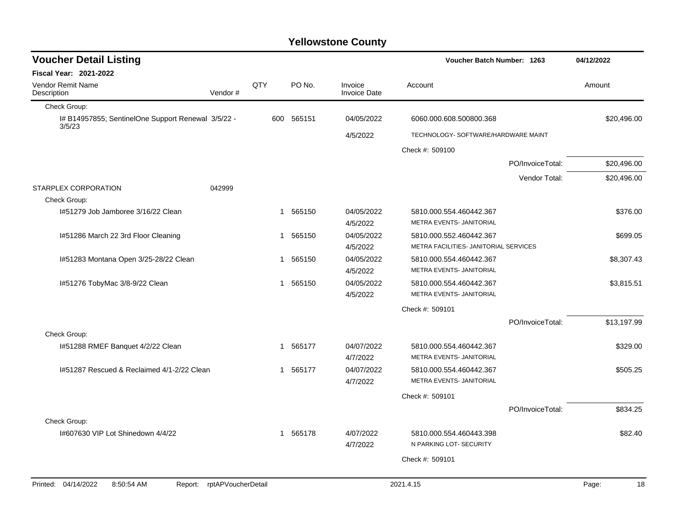| <b>Voucher Detail Listing</b>                                |                    |     |          |                                |                                                                  | Voucher Batch Number: 1263 |             |
|--------------------------------------------------------------|--------------------|-----|----------|--------------------------------|------------------------------------------------------------------|----------------------------|-------------|
| Fiscal Year: 2021-2022                                       |                    |     |          |                                |                                                                  |                            |             |
| <b>Vendor Remit Name</b><br>Description                      | Vendor#            | QTY | PO No.   | Invoice<br><b>Invoice Date</b> | Account                                                          |                            | Amount      |
| Check Group:                                                 |                    |     |          |                                |                                                                  |                            |             |
| I# B14957855; SentinelOne Support Renewal 3/5/22 -<br>3/5/23 |                    | 600 | 565151   | 04/05/2022                     | 6060.000.608.500800.368                                          |                            | \$20,496.00 |
|                                                              |                    |     |          | 4/5/2022                       | TECHNOLOGY- SOFTWARE/HARDWARE MAINT                              |                            |             |
|                                                              |                    |     |          |                                | Check #: 509100                                                  |                            |             |
|                                                              |                    |     |          |                                |                                                                  | PO/InvoiceTotal:           | \$20,496.00 |
|                                                              |                    |     |          |                                |                                                                  | Vendor Total:              | \$20,496.00 |
| STARPLEX CORPORATION                                         | 042999             |     |          |                                |                                                                  |                            |             |
| Check Group:                                                 |                    |     |          |                                |                                                                  |                            |             |
| I#51279 Job Jamboree 3/16/22 Clean                           |                    |     | 1 565150 | 04/05/2022                     | 5810.000.554.460442.367                                          |                            | \$376.00    |
|                                                              |                    |     |          | 4/5/2022                       | METRA EVENTS- JANITORIAL                                         |                            |             |
| 1#51286 March 22 3rd Floor Cleaning                          |                    |     | 1 565150 | 04/05/2022<br>4/5/2022         | 5810.000.552.460442.367<br>METRA FACILITIES- JANITORIAL SERVICES |                            | \$699.05    |
| 1#51283 Montana Open 3/25-28/22 Clean                        |                    |     | 1 565150 | 04/05/2022                     | 5810.000.554.460442.367                                          |                            | \$8,307.43  |
|                                                              |                    |     |          | 4/5/2022                       | METRA EVENTS- JANITORIAL                                         |                            |             |
| I#51276 TobyMac 3/8-9/22 Clean                               |                    | 1   | 565150   | 04/05/2022                     | 5810.000.554.460442.367                                          |                            | \$3,815.51  |
|                                                              |                    |     |          | 4/5/2022                       | METRA EVENTS- JANITORIAL                                         |                            |             |
|                                                              |                    |     |          |                                | Check #: 509101                                                  |                            |             |
|                                                              |                    |     |          |                                |                                                                  | PO/InvoiceTotal:           | \$13,197.99 |
| Check Group:                                                 |                    |     |          |                                |                                                                  |                            |             |
| 1#51288 RMEF Banquet 4/2/22 Clean                            |                    |     | 1 565177 | 04/07/2022                     | 5810.000.554.460442.367                                          |                            | \$329.00    |
|                                                              |                    |     |          | 4/7/2022                       | METRA EVENTS- JANITORIAL                                         |                            |             |
| 1#51287 Rescued & Reclaimed 4/1-2/22 Clean                   |                    |     | 1 565177 | 04/07/2022                     | 5810.000.554.460442.367                                          |                            | \$505.25    |
|                                                              |                    |     |          | 4/7/2022                       | METRA EVENTS- JANITORIAL                                         |                            |             |
|                                                              |                    |     |          |                                | Check #: 509101                                                  |                            |             |
|                                                              |                    |     |          |                                |                                                                  | PO/InvoiceTotal:           | \$834.25    |
| Check Group:                                                 |                    |     |          |                                |                                                                  |                            |             |
| 1#607630 VIP Lot Shinedown 4/4/22                            |                    |     | 1 565178 | 4/07/2022                      | 5810.000.554.460443.398                                          |                            | \$82.40     |
|                                                              |                    |     |          | 4/7/2022                       | N PARKING LOT- SECURITY                                          |                            |             |
|                                                              |                    |     |          |                                | Check #: 509101                                                  |                            |             |
|                                                              |                    |     |          |                                |                                                                  |                            |             |
| Printed: 04/14/2022<br>8:50:54 AM<br>Report:                 | rptAPVoucherDetail |     |          |                                | 2021.4.15                                                        |                            | 18<br>Page: |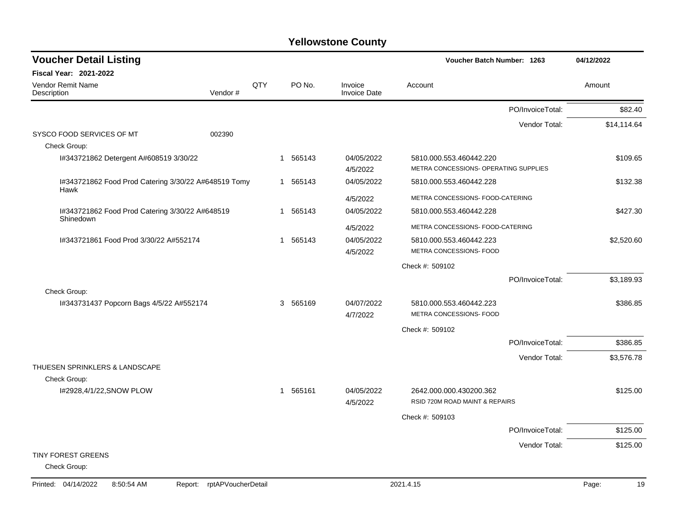| <b>Voucher Detail Listing</b>                                |                    |          |                                | Voucher Batch Number: 1263                                |                  | 04/12/2022  |
|--------------------------------------------------------------|--------------------|----------|--------------------------------|-----------------------------------------------------------|------------------|-------------|
| <b>Fiscal Year: 2021-2022</b>                                |                    |          |                                |                                                           |                  |             |
| Vendor Remit Name<br>Vendor#<br>Description                  | QTY                | PO No.   | Invoice<br><b>Invoice Date</b> | Account                                                   |                  | Amount      |
|                                                              |                    |          |                                |                                                           | PO/InvoiceTotal: | \$82.40     |
|                                                              |                    |          |                                |                                                           | Vendor Total:    | \$14,114.64 |
| SYSCO FOOD SERVICES OF MT<br>002390<br>Check Group:          |                    |          |                                |                                                           |                  |             |
| I#343721862 Detergent A#608519 3/30/22                       |                    | 1 565143 | 04/05/2022                     | 5810.000.553.460442.220                                   |                  | \$109.65    |
|                                                              |                    |          | 4/5/2022                       | METRA CONCESSIONS- OPERATING SUPPLIES                     |                  |             |
| I#343721862 Food Prod Catering 3/30/22 A#648519 Tomy<br>Hawk |                    | 1 565143 | 04/05/2022                     | 5810.000.553.460442.228                                   |                  | \$132.38    |
|                                                              |                    |          | 4/5/2022                       | METRA CONCESSIONS- FOOD-CATERING                          |                  |             |
| I#343721862 Food Prod Catering 3/30/22 A#648519              |                    | 1 565143 | 04/05/2022                     | 5810.000.553.460442.228                                   |                  | \$427.30    |
| Shinedown                                                    |                    |          | 4/5/2022                       | METRA CONCESSIONS- FOOD-CATERING                          |                  |             |
| I#343721861 Food Prod 3/30/22 A#552174                       |                    | 1 565143 | 04/05/2022                     | 5810.000.553.460442.223                                   |                  | \$2,520.60  |
|                                                              |                    |          | 4/5/2022                       | METRA CONCESSIONS- FOOD                                   |                  |             |
|                                                              |                    |          |                                | Check #: 509102                                           |                  |             |
|                                                              |                    |          |                                |                                                           | PO/InvoiceTotal: | \$3,189.93  |
| Check Group:                                                 |                    |          |                                |                                                           |                  |             |
| I#343731437 Popcorn Bags 4/5/22 A#552174                     |                    | 3 565169 | 04/07/2022<br>4/7/2022         | 5810.000.553.460442.223<br>METRA CONCESSIONS- FOOD        |                  | \$386.85    |
|                                                              |                    |          |                                | Check #: 509102                                           |                  |             |
|                                                              |                    |          |                                |                                                           | PO/InvoiceTotal: | \$386.85    |
|                                                              |                    |          |                                |                                                           | Vendor Total:    | \$3,576.78  |
| THUESEN SPRINKLERS & LANDSCAPE                               |                    |          |                                |                                                           |                  |             |
| Check Group:                                                 |                    |          |                                |                                                           |                  |             |
| I#2928,4/1/22, SNOW PLOW                                     |                    | 1 565161 | 04/05/2022<br>4/5/2022         | 2642.000.000.430200.362<br>RSID 720M ROAD MAINT & REPAIRS |                  | \$125.00    |
|                                                              |                    |          |                                | Check #: 509103                                           |                  |             |
|                                                              |                    |          |                                |                                                           | PO/InvoiceTotal: | \$125.00    |
|                                                              |                    |          |                                |                                                           | Vendor Total:    | \$125.00    |
| <b>TINY FOREST GREENS</b><br>Check Group:                    |                    |          |                                |                                                           |                  |             |
| Printed: 04/14/2022<br>8:50:54 AM<br>Report:                 | rptAPVoucherDetail |          |                                | 2021.4.15                                                 |                  | 19<br>Page: |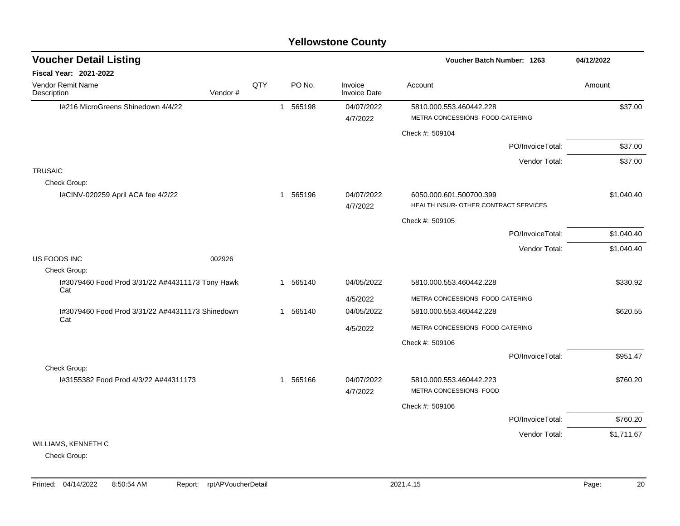#### I#216 MicroGreens Shinedown 4/4/22 1 565198 04/07/2022 5810.000.553.460442.228 \$37.00 4/7/2022 METRA CONCESSIONS- FOOD-CATERING Check #: 509104 PO/InvoiceTotal: \$37.00 Vendor Total: \$37.00 **TRUSAIC** Check Group: I#CINV-020259 April ACA fee 4/2/22 1 565196 1 565196 1 6050.000.601.500700.399 51,040.40 4/7/2022 HEALTH INSUR- OTHER CONTRACT SERVICES Check #: 509105 PO/InvoiceTotal: \$1,040.40 Vendor Total: \$1,040.40 US FOODS INC 002926 Check Group: I#3079460 Food Prod 3/31/22 A#44311173 Tony Hawk Cat 1 565140 04/05/2022 5810.000.553.460442.228 \$330.92 4/5/2022 METRA CONCESSIONS- FOOD-CATERING I#3079460 Food Prod 3/31/22 A#44311173 Shinedown Cat 1 565140 04/05/2022 5810.000.553.460442.228 \$620.55 4/5/2022 METRA CONCESSIONS- FOOD-CATERING Check #: 509106 PO/InvoiceTotal: \$951.47 Check Group: I#3155382 Food Prod 4/3/22 A#44311173 1 565166 04/07/2022 5810.000.553.460442.223 \$760.20 4/7/2022 METRA CONCESSIONS- FOOD Check #: 509106 PO/InvoiceTotal: \$760.20 Vendor Total: \$1,711.67 WILLIAMS, KENNETH C **Voucher Batch Number: Yellowstone County** Vendor Remit Name **Description Voucher Detail Listing Fiscal Year: 2021-2022 1263 04/12/2022** PO No. Invoice Account Amount Amount Amount Amount Vendor # **QTY** Invoice Date

Check Group: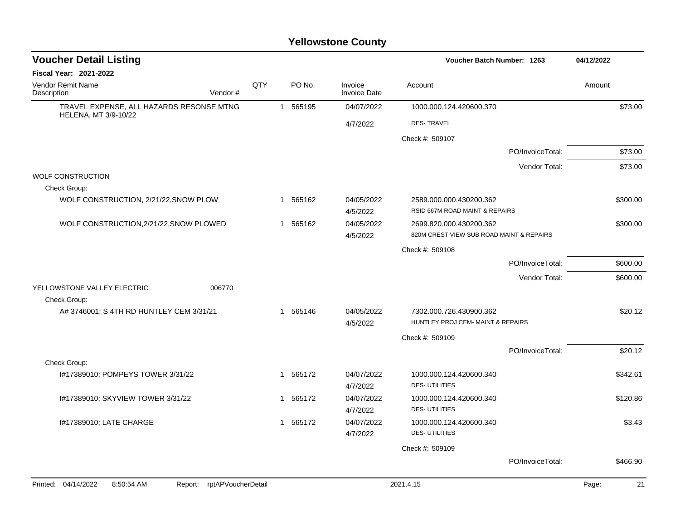| Fiscal Year: 2021-2022<br>QTY<br>Vendor Remit Name<br>PO No.<br>Invoice<br>Account<br>Amount<br>Description<br>Vendor#<br><b>Invoice Date</b><br>TRAVEL EXPENSE, ALL HAZARDS RESONSE MTNG<br>1 565195<br>\$73.00<br>04/07/2022<br>1000.000.124.420600.370<br>HELENA, MT 3/9-10/22<br>4/7/2022<br><b>DES-TRAVEL</b><br>Check #: 509107<br>PO/InvoiceTotal:<br>\$73.00<br>Vendor Total:<br>\$73.00<br><b>WOLF CONSTRUCTION</b><br>Check Group:<br>WOLF CONSTRUCTION, 2/21/22, SNOW PLOW<br>04/05/2022<br>565162<br>2589.000.000.430200.362<br>\$300.00<br>$\mathbf{1}$<br>RSID 667M ROAD MAINT & REPAIRS<br>4/5/2022<br>WOLF CONSTRUCTION, 2/21/22, SNOW PLOWED<br>1 565162<br>04/05/2022<br>\$300.00<br>2699.820.000.430200.362<br>820M CREST VIEW SUB ROAD MAINT & REPAIRS<br>4/5/2022<br>Check #: 509108<br>\$600.00<br>PO/InvoiceTotal:<br>Vendor Total:<br>\$600.00<br>YELLOWSTONE VALLEY ELECTRIC<br>006770<br>Check Group:<br>A# 3746001; S 4TH RD HUNTLEY CEM 3/31/21<br>1 565146<br>04/05/2022<br>7302.000.726.430900.362<br>\$20.12<br>HUNTLEY PROJ CEM- MAINT & REPAIRS<br>4/5/2022<br>Check #: 509109<br>\$20.12<br>PO/InvoiceTotal:<br>Check Group:<br>I#17389010; POMPEYS TOWER 3/31/22<br>565172<br>04/07/2022<br>1000.000.124.420600.340<br>\$342.61<br>1<br><b>DES-UTILITIES</b><br>4/7/2022<br>04/07/2022<br>I#17389010; SKYVIEW TOWER 3/31/22<br>1 565172<br>1000.000.124.420600.340<br>\$120.86<br><b>DES-UTILITIES</b><br>4/7/2022<br>I#17389010; LATE CHARGE<br>1 565172<br>04/07/2022<br>1000.000.124.420600.340<br>\$3.43<br>4/7/2022<br><b>DES-UTILITIES</b><br>Check #: 509109<br>PO/InvoiceTotal:<br>\$466.90<br>Printed: 04/14/2022<br>rptAPVoucherDetail<br>2021.4.15<br>8:50:54 AM<br>Page:<br>Report: | <b>Voucher Detail Listing</b> |  |  | Voucher Batch Number: 1263 | 04/12/2022 |
|------------------------------------------------------------------------------------------------------------------------------------------------------------------------------------------------------------------------------------------------------------------------------------------------------------------------------------------------------------------------------------------------------------------------------------------------------------------------------------------------------------------------------------------------------------------------------------------------------------------------------------------------------------------------------------------------------------------------------------------------------------------------------------------------------------------------------------------------------------------------------------------------------------------------------------------------------------------------------------------------------------------------------------------------------------------------------------------------------------------------------------------------------------------------------------------------------------------------------------------------------------------------------------------------------------------------------------------------------------------------------------------------------------------------------------------------------------------------------------------------------------------------------------------------------------------------------------------------------------------------------------------------------------------------------------------------------------------------------------|-------------------------------|--|--|----------------------------|------------|
| 21                                                                                                                                                                                                                                                                                                                                                                                                                                                                                                                                                                                                                                                                                                                                                                                                                                                                                                                                                                                                                                                                                                                                                                                                                                                                                                                                                                                                                                                                                                                                                                                                                                                                                                                                 |                               |  |  |                            |            |
|                                                                                                                                                                                                                                                                                                                                                                                                                                                                                                                                                                                                                                                                                                                                                                                                                                                                                                                                                                                                                                                                                                                                                                                                                                                                                                                                                                                                                                                                                                                                                                                                                                                                                                                                    |                               |  |  |                            |            |
|                                                                                                                                                                                                                                                                                                                                                                                                                                                                                                                                                                                                                                                                                                                                                                                                                                                                                                                                                                                                                                                                                                                                                                                                                                                                                                                                                                                                                                                                                                                                                                                                                                                                                                                                    |                               |  |  |                            |            |
|                                                                                                                                                                                                                                                                                                                                                                                                                                                                                                                                                                                                                                                                                                                                                                                                                                                                                                                                                                                                                                                                                                                                                                                                                                                                                                                                                                                                                                                                                                                                                                                                                                                                                                                                    |                               |  |  |                            |            |
|                                                                                                                                                                                                                                                                                                                                                                                                                                                                                                                                                                                                                                                                                                                                                                                                                                                                                                                                                                                                                                                                                                                                                                                                                                                                                                                                                                                                                                                                                                                                                                                                                                                                                                                                    |                               |  |  |                            |            |
|                                                                                                                                                                                                                                                                                                                                                                                                                                                                                                                                                                                                                                                                                                                                                                                                                                                                                                                                                                                                                                                                                                                                                                                                                                                                                                                                                                                                                                                                                                                                                                                                                                                                                                                                    |                               |  |  |                            |            |
|                                                                                                                                                                                                                                                                                                                                                                                                                                                                                                                                                                                                                                                                                                                                                                                                                                                                                                                                                                                                                                                                                                                                                                                                                                                                                                                                                                                                                                                                                                                                                                                                                                                                                                                                    |                               |  |  |                            |            |
|                                                                                                                                                                                                                                                                                                                                                                                                                                                                                                                                                                                                                                                                                                                                                                                                                                                                                                                                                                                                                                                                                                                                                                                                                                                                                                                                                                                                                                                                                                                                                                                                                                                                                                                                    |                               |  |  |                            |            |
|                                                                                                                                                                                                                                                                                                                                                                                                                                                                                                                                                                                                                                                                                                                                                                                                                                                                                                                                                                                                                                                                                                                                                                                                                                                                                                                                                                                                                                                                                                                                                                                                                                                                                                                                    |                               |  |  |                            |            |
|                                                                                                                                                                                                                                                                                                                                                                                                                                                                                                                                                                                                                                                                                                                                                                                                                                                                                                                                                                                                                                                                                                                                                                                                                                                                                                                                                                                                                                                                                                                                                                                                                                                                                                                                    |                               |  |  |                            |            |
|                                                                                                                                                                                                                                                                                                                                                                                                                                                                                                                                                                                                                                                                                                                                                                                                                                                                                                                                                                                                                                                                                                                                                                                                                                                                                                                                                                                                                                                                                                                                                                                                                                                                                                                                    |                               |  |  |                            |            |
|                                                                                                                                                                                                                                                                                                                                                                                                                                                                                                                                                                                                                                                                                                                                                                                                                                                                                                                                                                                                                                                                                                                                                                                                                                                                                                                                                                                                                                                                                                                                                                                                                                                                                                                                    |                               |  |  |                            |            |
|                                                                                                                                                                                                                                                                                                                                                                                                                                                                                                                                                                                                                                                                                                                                                                                                                                                                                                                                                                                                                                                                                                                                                                                                                                                                                                                                                                                                                                                                                                                                                                                                                                                                                                                                    |                               |  |  |                            |            |
|                                                                                                                                                                                                                                                                                                                                                                                                                                                                                                                                                                                                                                                                                                                                                                                                                                                                                                                                                                                                                                                                                                                                                                                                                                                                                                                                                                                                                                                                                                                                                                                                                                                                                                                                    |                               |  |  |                            |            |
|                                                                                                                                                                                                                                                                                                                                                                                                                                                                                                                                                                                                                                                                                                                                                                                                                                                                                                                                                                                                                                                                                                                                                                                                                                                                                                                                                                                                                                                                                                                                                                                                                                                                                                                                    |                               |  |  |                            |            |
|                                                                                                                                                                                                                                                                                                                                                                                                                                                                                                                                                                                                                                                                                                                                                                                                                                                                                                                                                                                                                                                                                                                                                                                                                                                                                                                                                                                                                                                                                                                                                                                                                                                                                                                                    |                               |  |  |                            |            |
|                                                                                                                                                                                                                                                                                                                                                                                                                                                                                                                                                                                                                                                                                                                                                                                                                                                                                                                                                                                                                                                                                                                                                                                                                                                                                                                                                                                                                                                                                                                                                                                                                                                                                                                                    |                               |  |  |                            |            |
|                                                                                                                                                                                                                                                                                                                                                                                                                                                                                                                                                                                                                                                                                                                                                                                                                                                                                                                                                                                                                                                                                                                                                                                                                                                                                                                                                                                                                                                                                                                                                                                                                                                                                                                                    |                               |  |  |                            |            |
|                                                                                                                                                                                                                                                                                                                                                                                                                                                                                                                                                                                                                                                                                                                                                                                                                                                                                                                                                                                                                                                                                                                                                                                                                                                                                                                                                                                                                                                                                                                                                                                                                                                                                                                                    |                               |  |  |                            |            |
|                                                                                                                                                                                                                                                                                                                                                                                                                                                                                                                                                                                                                                                                                                                                                                                                                                                                                                                                                                                                                                                                                                                                                                                                                                                                                                                                                                                                                                                                                                                                                                                                                                                                                                                                    |                               |  |  |                            |            |
|                                                                                                                                                                                                                                                                                                                                                                                                                                                                                                                                                                                                                                                                                                                                                                                                                                                                                                                                                                                                                                                                                                                                                                                                                                                                                                                                                                                                                                                                                                                                                                                                                                                                                                                                    |                               |  |  |                            |            |
|                                                                                                                                                                                                                                                                                                                                                                                                                                                                                                                                                                                                                                                                                                                                                                                                                                                                                                                                                                                                                                                                                                                                                                                                                                                                                                                                                                                                                                                                                                                                                                                                                                                                                                                                    |                               |  |  |                            |            |
|                                                                                                                                                                                                                                                                                                                                                                                                                                                                                                                                                                                                                                                                                                                                                                                                                                                                                                                                                                                                                                                                                                                                                                                                                                                                                                                                                                                                                                                                                                                                                                                                                                                                                                                                    |                               |  |  |                            |            |
|                                                                                                                                                                                                                                                                                                                                                                                                                                                                                                                                                                                                                                                                                                                                                                                                                                                                                                                                                                                                                                                                                                                                                                                                                                                                                                                                                                                                                                                                                                                                                                                                                                                                                                                                    |                               |  |  |                            |            |
|                                                                                                                                                                                                                                                                                                                                                                                                                                                                                                                                                                                                                                                                                                                                                                                                                                                                                                                                                                                                                                                                                                                                                                                                                                                                                                                                                                                                                                                                                                                                                                                                                                                                                                                                    |                               |  |  |                            |            |
|                                                                                                                                                                                                                                                                                                                                                                                                                                                                                                                                                                                                                                                                                                                                                                                                                                                                                                                                                                                                                                                                                                                                                                                                                                                                                                                                                                                                                                                                                                                                                                                                                                                                                                                                    |                               |  |  |                            |            |
|                                                                                                                                                                                                                                                                                                                                                                                                                                                                                                                                                                                                                                                                                                                                                                                                                                                                                                                                                                                                                                                                                                                                                                                                                                                                                                                                                                                                                                                                                                                                                                                                                                                                                                                                    |                               |  |  |                            |            |
|                                                                                                                                                                                                                                                                                                                                                                                                                                                                                                                                                                                                                                                                                                                                                                                                                                                                                                                                                                                                                                                                                                                                                                                                                                                                                                                                                                                                                                                                                                                                                                                                                                                                                                                                    |                               |  |  |                            |            |
|                                                                                                                                                                                                                                                                                                                                                                                                                                                                                                                                                                                                                                                                                                                                                                                                                                                                                                                                                                                                                                                                                                                                                                                                                                                                                                                                                                                                                                                                                                                                                                                                                                                                                                                                    |                               |  |  |                            |            |
|                                                                                                                                                                                                                                                                                                                                                                                                                                                                                                                                                                                                                                                                                                                                                                                                                                                                                                                                                                                                                                                                                                                                                                                                                                                                                                                                                                                                                                                                                                                                                                                                                                                                                                                                    |                               |  |  |                            |            |
|                                                                                                                                                                                                                                                                                                                                                                                                                                                                                                                                                                                                                                                                                                                                                                                                                                                                                                                                                                                                                                                                                                                                                                                                                                                                                                                                                                                                                                                                                                                                                                                                                                                                                                                                    |                               |  |  |                            |            |